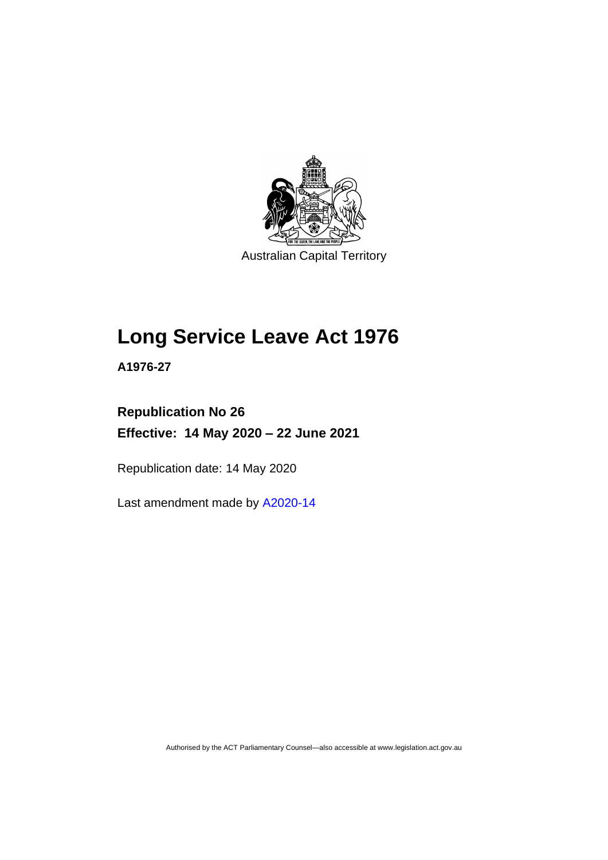

Australian Capital Territory

# **Long Service Leave Act 1976**

**A1976-27**

# **Republication No 26 Effective: 14 May 2020 – 22 June 2021**

Republication date: 14 May 2020

Last amendment made by [A2020-14](http://www.legislation.act.gov.au/a/2020-14/)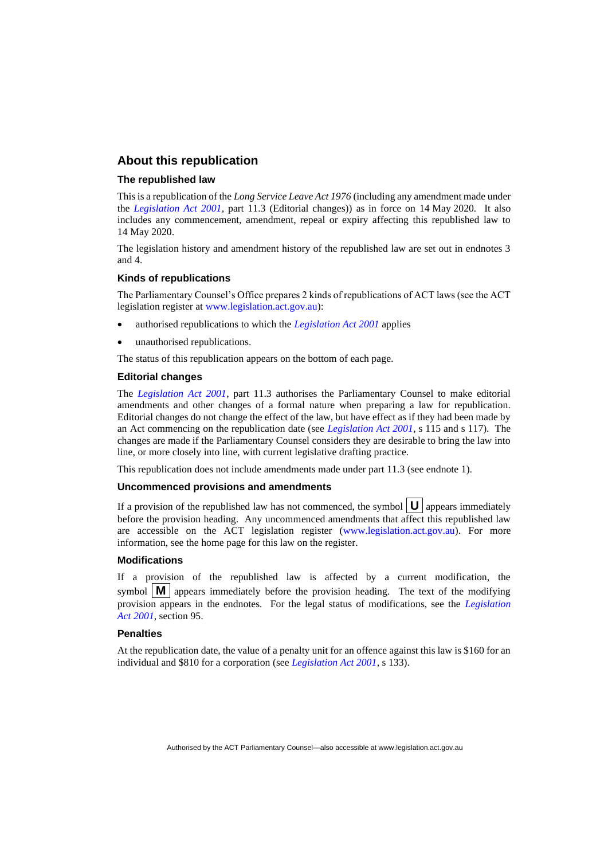### **About this republication**

#### **The republished law**

This is a republication of the *Long Service Leave Act 1976* (including any amendment made under the *[Legislation Act 2001](http://www.legislation.act.gov.au/a/2001-14)*, part 11.3 (Editorial changes)) as in force on 14 May 2020*.* It also includes any commencement, amendment, repeal or expiry affecting this republished law to 14 May 2020.

The legislation history and amendment history of the republished law are set out in endnotes 3 and 4.

#### **Kinds of republications**

The Parliamentary Counsel's Office prepares 2 kinds of republications of ACT laws (see the ACT legislation register at [www.legislation.act.gov.au\)](http://www.legislation.act.gov.au/):

- authorised republications to which the *[Legislation Act 2001](http://www.legislation.act.gov.au/a/2001-14)* applies
- unauthorised republications.

The status of this republication appears on the bottom of each page.

#### **Editorial changes**

The *[Legislation Act 2001](http://www.legislation.act.gov.au/a/2001-14)*, part 11.3 authorises the Parliamentary Counsel to make editorial amendments and other changes of a formal nature when preparing a law for republication. Editorial changes do not change the effect of the law, but have effect as if they had been made by an Act commencing on the republication date (see *[Legislation Act 2001](http://www.legislation.act.gov.au/a/2001-14)*, s 115 and s 117). The changes are made if the Parliamentary Counsel considers they are desirable to bring the law into line, or more closely into line, with current legislative drafting practice.

This republication does not include amendments made under part 11.3 (see endnote 1).

#### **Uncommenced provisions and amendments**

If a provision of the republished law has not commenced, the symbol  $\mathbf{U}$  appears immediately before the provision heading. Any uncommenced amendments that affect this republished law are accessible on the ACT legislation register [\(www.legislation.act.gov.au\)](http://www.legislation.act.gov.au/). For more information, see the home page for this law on the register.

#### **Modifications**

If a provision of the republished law is affected by a current modification, the symbol  $\mathbf{M}$  appears immediately before the provision heading. The text of the modifying provision appears in the endnotes. For the legal status of modifications, see the *[Legislation](http://www.legislation.act.gov.au/a/2001-14)  Act [2001](http://www.legislation.act.gov.au/a/2001-14)*, section 95.

#### **Penalties**

At the republication date, the value of a penalty unit for an offence against this law is \$160 for an individual and \$810 for a corporation (see *[Legislation Act 2001](http://www.legislation.act.gov.au/a/2001-14)*, s 133).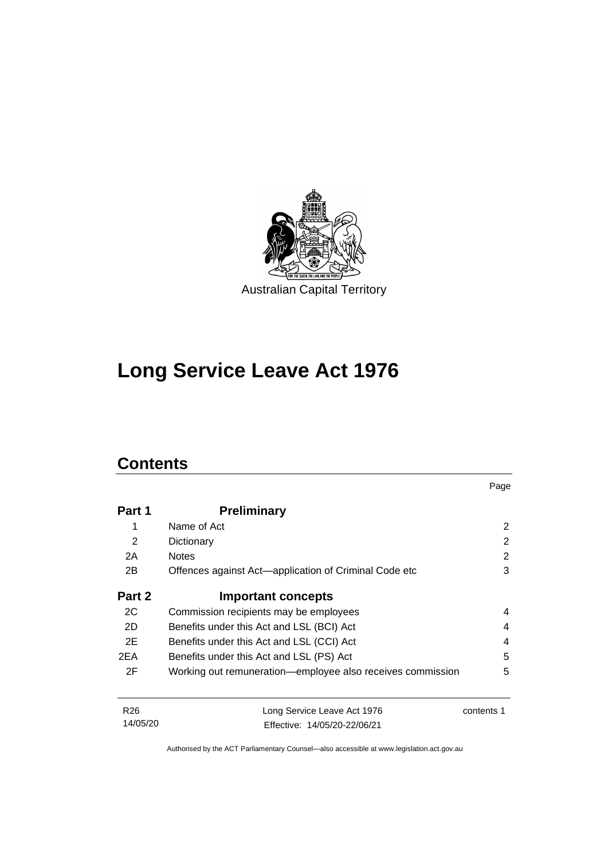

# **Long Service Leave Act 1976**

# **Contents**

|                 |                                                            | Page           |
|-----------------|------------------------------------------------------------|----------------|
| Part 1          | <b>Preliminary</b>                                         |                |
| 1               | Name of Act                                                | $\overline{2}$ |
| 2               | Dictionary                                                 | 2              |
| 2A              | <b>Notes</b>                                               | 2              |
| 2B              | Offences against Act—application of Criminal Code etc      | 3              |
| Part 2          | <b>Important concepts</b>                                  |                |
| 2C              | Commission recipients may be employees                     | 4              |
| 2D              | Benefits under this Act and LSL (BCI) Act                  |                |
| 2E              | Benefits under this Act and LSL (CCI) Act                  |                |
| 2EA             | Benefits under this Act and LSL (PS) Act                   |                |
| 2F              | Working out remuneration-employee also receives commission | 5              |
| R <sub>26</sub> | Long Service Leave Act 1976                                | contents 1     |
| 14/05/20        | Effective: 14/05/20-22/06/21                               |                |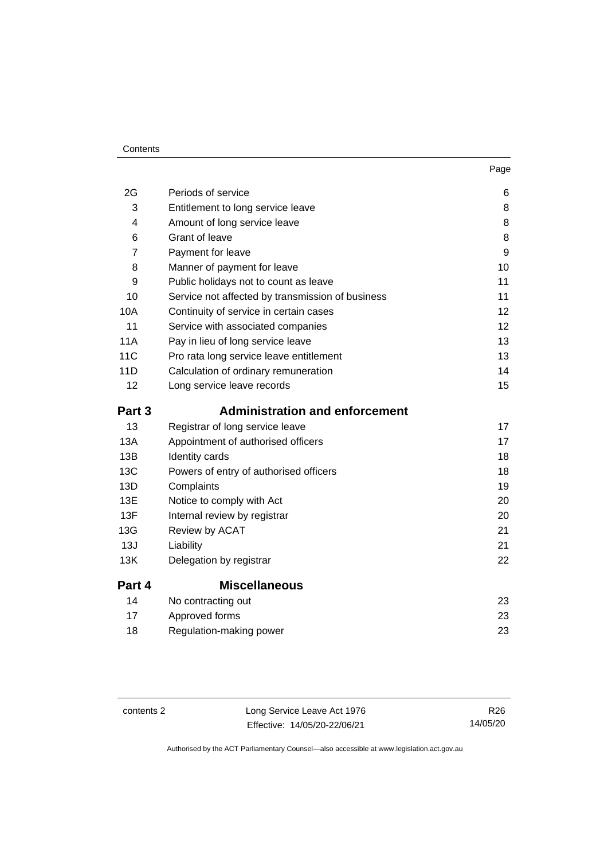#### **Contents**

| 2G              | Periods of service                               | 6  |
|-----------------|--------------------------------------------------|----|
| 3               | Entitlement to long service leave                | 8  |
| 4               | Amount of long service leave                     | 8  |
| 6               | Grant of leave                                   | 8  |
| 7               | Payment for leave                                | 9  |
| 8               | Manner of payment for leave                      | 10 |
| 9               | Public holidays not to count as leave            | 11 |
| 10              | Service not affected by transmission of business | 11 |
| 10A             | Continuity of service in certain cases           | 12 |
| 11              | Service with associated companies                | 12 |
| <b>11A</b>      | Pay in lieu of long service leave                | 13 |
| 11 <sub>C</sub> | Pro rata long service leave entitlement          | 13 |
| 11D             | Calculation of ordinary remuneration             | 14 |
| 12              | Long service leave records                       | 15 |
| Part 3          | <b>Administration and enforcement</b>            |    |
| 13              | Registrar of long service leave                  | 17 |
| 13A             | Appointment of authorised officers               | 17 |
| 13B             | Identity cards                                   | 18 |
| 13C             | Powers of entry of authorised officers           | 18 |
| 13D             | Complaints                                       | 19 |
| 13E             | Notice to comply with Act                        | 20 |
| 13F             | Internal review by registrar                     | 20 |
| 13G             | Review by ACAT                                   | 21 |
| 13J             | Liability                                        | 21 |
| 13K             | Delegation by registrar                          | 22 |
| Part 4          | <b>Miscellaneous</b>                             |    |
| 14              | No contracting out                               | 23 |
| 17              | Approved forms                                   | 23 |
| 18              | Regulation-making power                          | 23 |

| contents 2 |  |
|------------|--|
|------------|--|

Long Service Leave Act 1976 Effective: 14/05/20-22/06/21

R26 14/05/20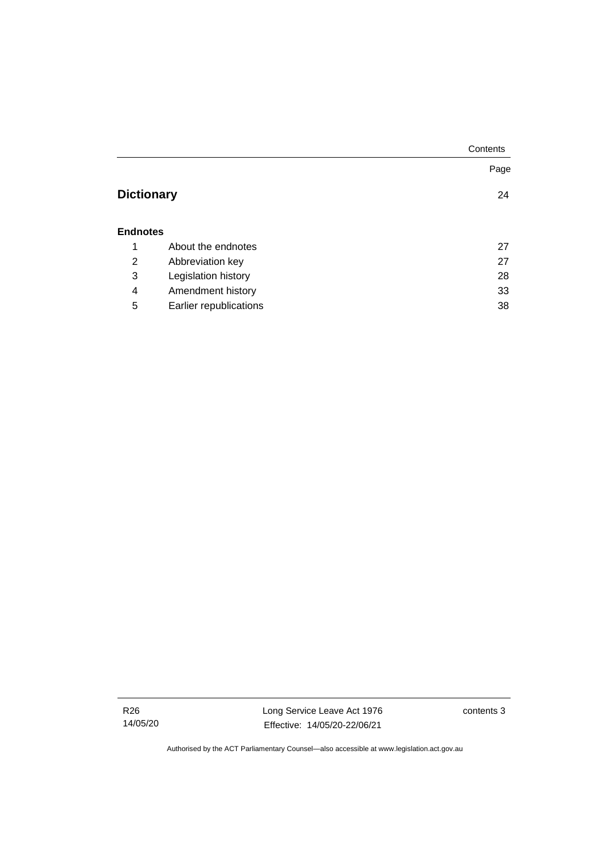|                   |                        | Contents |
|-------------------|------------------------|----------|
|                   |                        | Page     |
| <b>Dictionary</b> |                        | 24       |
| <b>Endnotes</b>   |                        |          |
| 1                 | About the endnotes     | 27       |
| 2                 | Abbreviation key       | 27       |
| 3                 | Legislation history    | 28       |
| 4                 | Amendment history      | 33       |
| 5                 | Earlier republications | 38       |

R26 14/05/20 Long Service Leave Act 1976 Effective: 14/05/20-22/06/21

contents 3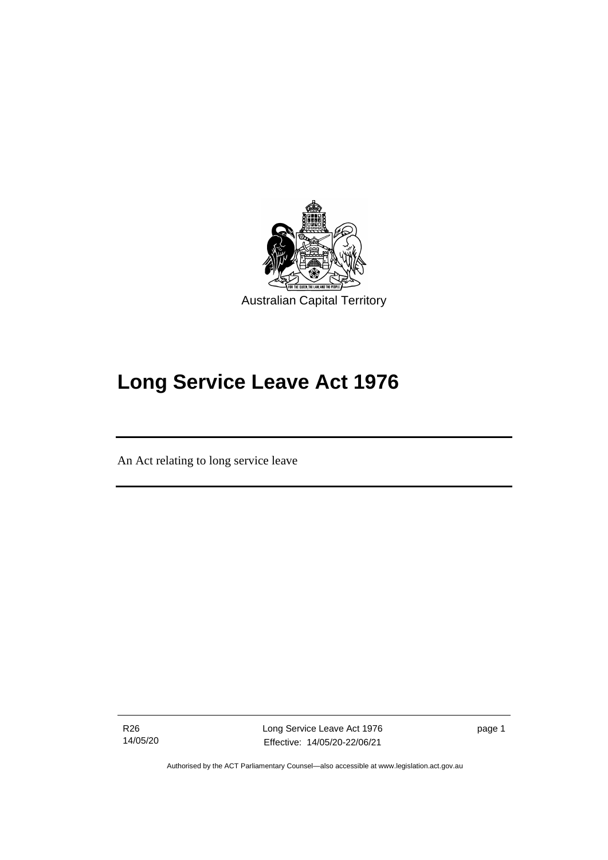

# **Long Service Leave Act 1976**

An Act relating to long service leave

R26 14/05/20

ׅ֖֖֚֚֡֡֬֝֬

Long Service Leave Act 1976 Effective: 14/05/20-22/06/21

page 1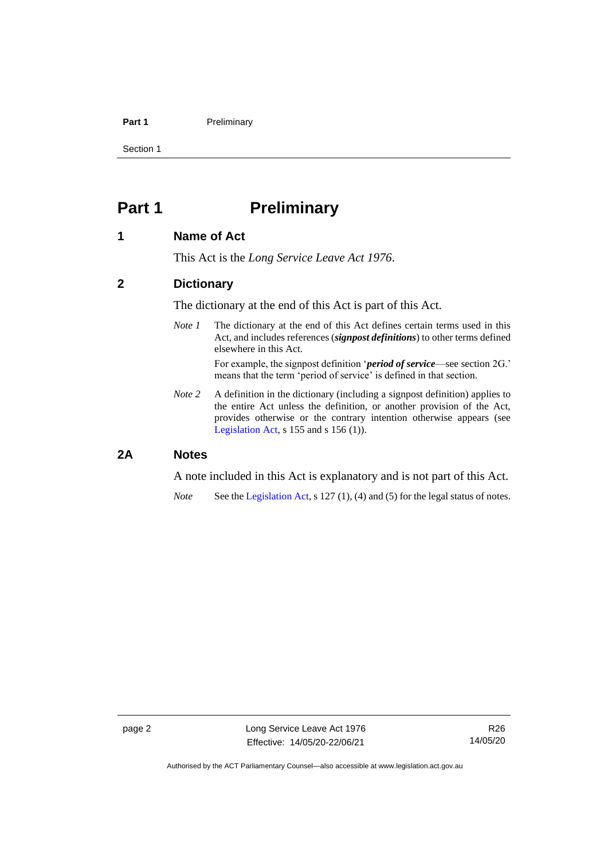### **Part 1** Preliminary

Section 1

# <span id="page-7-0"></span>**Part 1 Preliminary**

### <span id="page-7-1"></span>**1 Name of Act**

This Act is the *Long Service Leave Act 1976*.

### <span id="page-7-2"></span>**2 Dictionary**

The dictionary at the end of this Act is part of this Act.

*Note 1* The dictionary at the end of this Act defines certain terms used in this Act, and includes references (*signpost definitions*) to other terms defined elsewhere in this Act.

> For example, the signpost definition '*period of service*—see section 2G.' means that the term 'period of service' is defined in that section.

*Note 2* A definition in the dictionary (including a signpost definition) applies to the entire Act unless the definition, or another provision of the Act, provides otherwise or the contrary intention otherwise appears (see [Legislation Act,](http://www.legislation.act.gov.au/a/2001-14) s 155 and s 156 (1)).

### <span id="page-7-3"></span>**2A Notes**

A note included in this Act is explanatory and is not part of this Act.

*Note* See the [Legislation Act,](http://www.legislation.act.gov.au/a/2001-14) s 127 (1), (4) and (5) for the legal status of notes.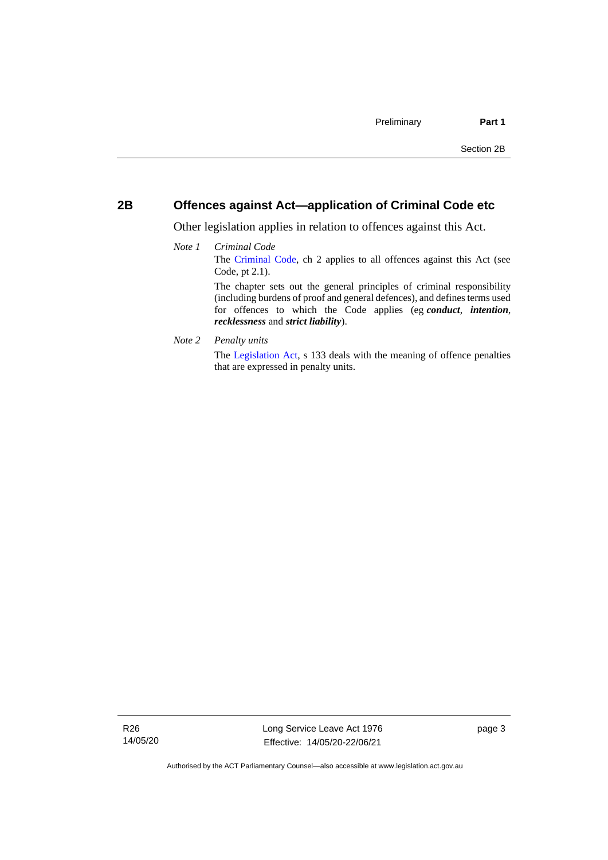### <span id="page-8-0"></span>**2B Offences against Act—application of Criminal Code etc**

Other legislation applies in relation to offences against this Act.

- *Note 1 Criminal Code* The [Criminal Code,](http://www.legislation.act.gov.au/a/2002-51) ch 2 applies to all offences against this Act (see Code, pt 2.1). The chapter sets out the general principles of criminal responsibility (including burdens of proof and general defences), and defines terms used for offences to which the Code applies (eg *conduct*, *intention*, *recklessness* and *strict liability*).
- *Note 2 Penalty units*

The [Legislation Act,](http://www.legislation.act.gov.au/a/2001-14) s 133 deals with the meaning of offence penalties that are expressed in penalty units.

R26 14/05/20 Long Service Leave Act 1976 Effective: 14/05/20-22/06/21

page 3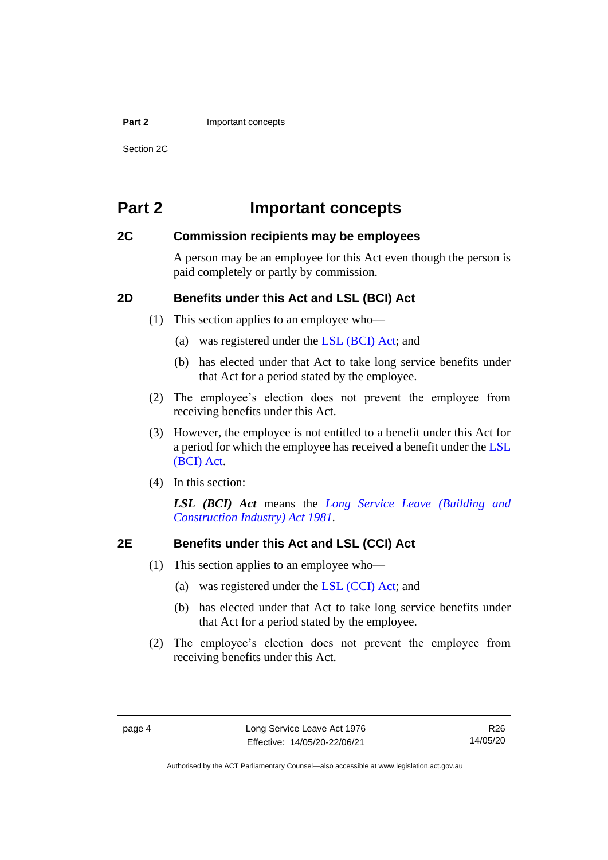#### **Part 2 Important concepts**

Section 2C

## <span id="page-9-0"></span>**Part 2 Important concepts**

### <span id="page-9-1"></span>**2C Commission recipients may be employees**

A person may be an employee for this Act even though the person is paid completely or partly by commission.

### <span id="page-9-2"></span>**2D Benefits under this Act and LSL (BCI) Act**

(1) This section applies to an employee who—

- (a) was registered under the [LSL \(BCI\) Act;](http://www.legislation.act.gov.au/a/1981-23/default.asp) and
- (b) has elected under that Act to take long service benefits under that Act for a period stated by the employee.
- (2) The employee's election does not prevent the employee from receiving benefits under this Act.
- (3) However, the employee is not entitled to a benefit under this Act for a period for which the employee has received a benefit under the [LSL](http://www.legislation.act.gov.au/a/1981-23/default.asp)  [\(BCI\) Act.](http://www.legislation.act.gov.au/a/1981-23/default.asp)
- (4) In this section:

*LSL (BCI) Act* means the *[Long Service Leave \(Building and](http://www.legislation.act.gov.au/a/1981-23)  [Construction Industry\) Act 1981.](http://www.legislation.act.gov.au/a/1981-23)*

### <span id="page-9-3"></span>**2E Benefits under this Act and LSL (CCI) Act**

- (1) This section applies to an employee who—
	- (a) was registered under the [LSL \(CCI\) Act;](http://www.legislation.act.gov.au/a/1999-85/default.asp) and
	- (b) has elected under that Act to take long service benefits under that Act for a period stated by the employee.
- (2) The employee's election does not prevent the employee from receiving benefits under this Act.

R26 14/05/20

Authorised by the ACT Parliamentary Counsel—also accessible at www.legislation.act.gov.au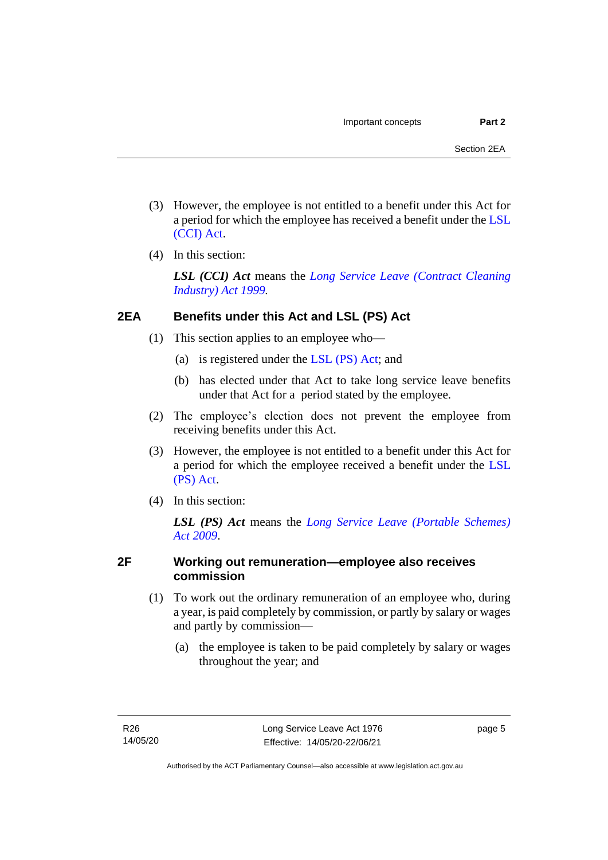- (3) However, the employee is not entitled to a benefit under this Act for a period for which the employee has received a benefit under the [LSL](http://www.legislation.act.gov.au/a/1999-85/default.asp)  [\(CCI\) Act.](http://www.legislation.act.gov.au/a/1999-85/default.asp)
- (4) In this section:

*LSL (CCI) Act* means the *[Long Service Leave \(Contract Cleaning](http://www.legislation.act.gov.au/a/1999-85)  [Industry\) Act 1999.](http://www.legislation.act.gov.au/a/1999-85)*

### <span id="page-10-0"></span>**2EA Benefits under this Act and LSL (PS) Act**

- (1) This section applies to an employee who—
	- (a) is registered under the [LSL \(PS\) Act;](http://www.legislation.act.gov.au/a/2009-25/default.asp) and
	- (b) has elected under that Act to take long service leave benefits under that Act for a period stated by the employee.
- (2) The employee's election does not prevent the employee from receiving benefits under this Act.
- (3) However, the employee is not entitled to a benefit under this Act for a period for which the employee received a benefit under the [LSL](http://www.legislation.act.gov.au/a/2009-25/default.asp)  [\(PS\) Act.](http://www.legislation.act.gov.au/a/2009-25/default.asp)
- (4) In this section:

*LSL (PS) Act* means the *[Long Service Leave \(Portable Schemes\)](http://www.legislation.act.gov.au/a/2009-25)  Act [2009](http://www.legislation.act.gov.au/a/2009-25)*.

### <span id="page-10-1"></span>**2F Working out remuneration—employee also receives commission**

- (1) To work out the ordinary remuneration of an employee who, during a year, is paid completely by commission, or partly by salary or wages and partly by commission—
	- (a) the employee is taken to be paid completely by salary or wages throughout the year; and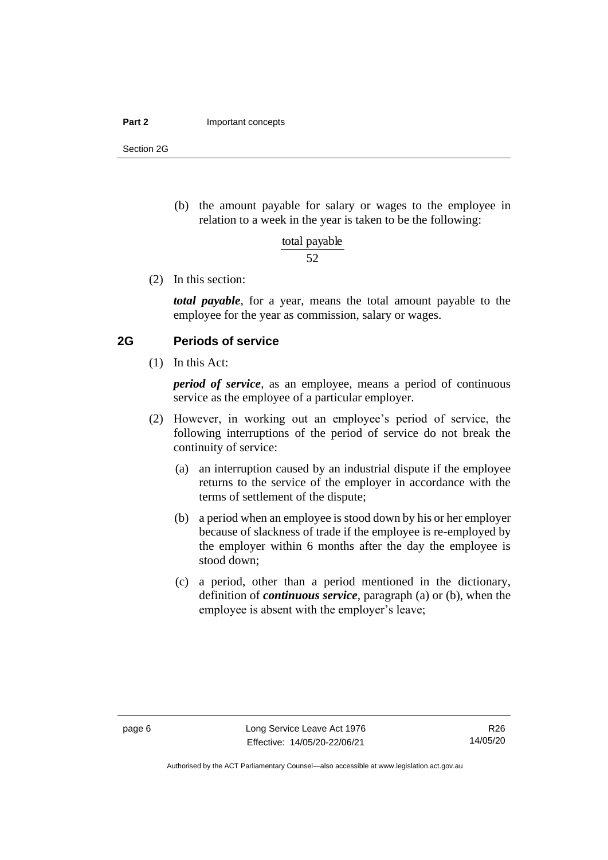#### **Part 2 Important concepts**

Section 2G

(b) the amount payable for salary or wages to the employee in relation to a week in the year is taken to be the following:

> 52 total payable

(2) In this section:

*total payable*, for a year, means the total amount payable to the employee for the year as commission, salary or wages.

### <span id="page-11-0"></span>**2G Periods of service**

(1) In this Act:

*period of service*, as an employee, means a period of continuous service as the employee of a particular employer.

- (2) However, in working out an employee's period of service, the following interruptions of the period of service do not break the continuity of service:
	- (a) an interruption caused by an industrial dispute if the employee returns to the service of the employer in accordance with the terms of settlement of the dispute;
	- (b) a period when an employee is stood down by his or her employer because of slackness of trade if the employee is re-employed by the employer within 6 months after the day the employee is stood down;
	- (c) a period, other than a period mentioned in the dictionary, definition of *continuous service*, paragraph (a) or (b), when the employee is absent with the employer's leave;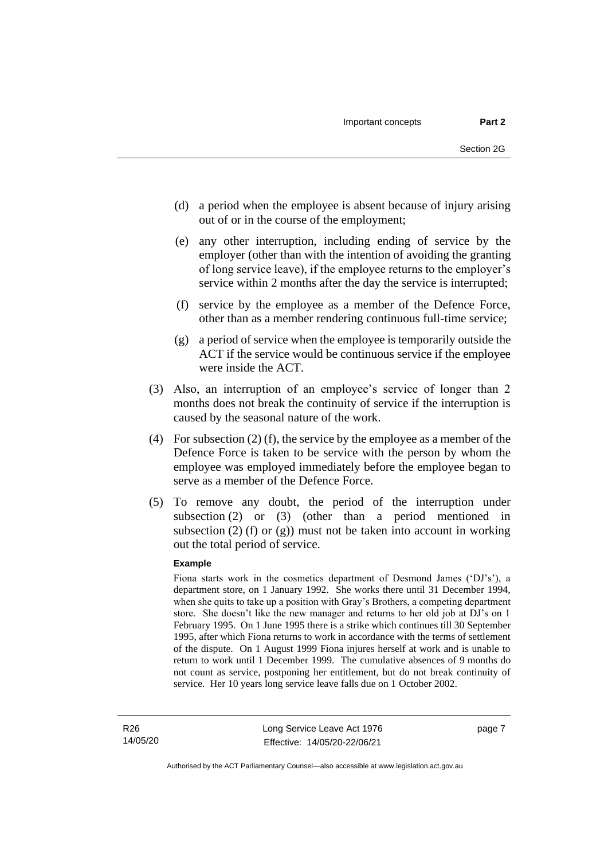- (d) a period when the employee is absent because of injury arising out of or in the course of the employment;
- (e) any other interruption, including ending of service by the employer (other than with the intention of avoiding the granting of long service leave), if the employee returns to the employer's service within 2 months after the day the service is interrupted;
- (f) service by the employee as a member of the Defence Force, other than as a member rendering continuous full-time service;
- (g) a period of service when the employee is temporarily outside the ACT if the service would be continuous service if the employee were inside the ACT.
- (3) Also, an interruption of an employee's service of longer than 2 months does not break the continuity of service if the interruption is caused by the seasonal nature of the work.
- (4) For subsection (2) (f), the service by the employee as a member of the Defence Force is taken to be service with the person by whom the employee was employed immediately before the employee began to serve as a member of the Defence Force.
- (5) To remove any doubt, the period of the interruption under subsection (2) or (3) (other than a period mentioned in subsection  $(2)$  (f) or  $(g)$ ) must not be taken into account in working out the total period of service.

#### **Example**

Fiona starts work in the cosmetics department of Desmond James ('DJ's'), a department store, on 1 January 1992. She works there until 31 December 1994, when she quits to take up a position with Gray's Brothers, a competing department store. She doesn't like the new manager and returns to her old job at DJ's on 1 February 1995. On 1 June 1995 there is a strike which continues till 30 September 1995, after which Fiona returns to work in accordance with the terms of settlement of the dispute. On 1 August 1999 Fiona injures herself at work and is unable to return to work until 1 December 1999. The cumulative absences of 9 months do not count as service, postponing her entitlement, but do not break continuity of service. Her 10 years long service leave falls due on 1 October 2002.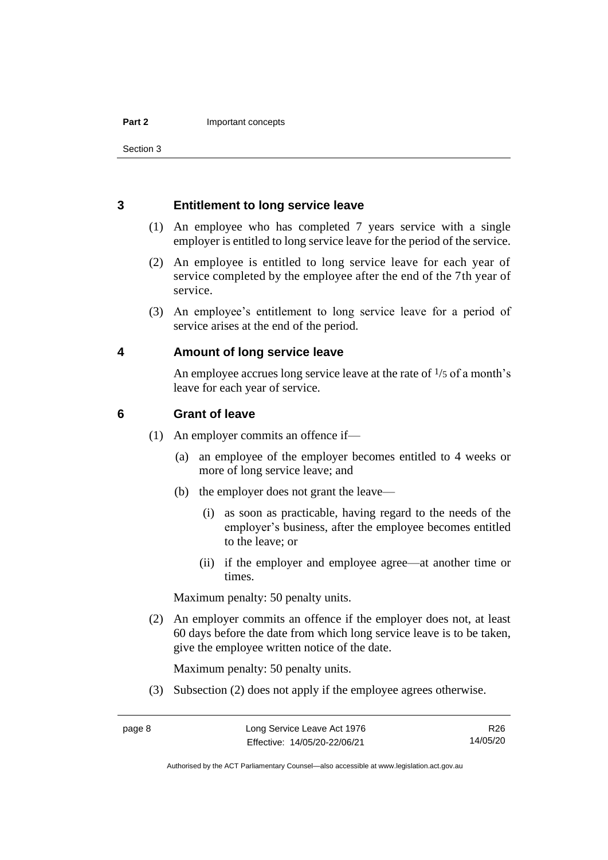### <span id="page-13-0"></span>**3 Entitlement to long service leave**

- (1) An employee who has completed 7 years service with a single employer is entitled to long service leave for the period of the service.
- (2) An employee is entitled to long service leave for each year of service completed by the employee after the end of the 7th year of service.
- (3) An employee's entitlement to long service leave for a period of service arises at the end of the period.

### <span id="page-13-1"></span>**4 Amount of long service leave**

An employee accrues long service leave at the rate of  $\frac{1}{5}$  of a month's leave for each year of service.

### <span id="page-13-2"></span>**6 Grant of leave**

- (1) An employer commits an offence if—
	- (a) an employee of the employer becomes entitled to 4 weeks or more of long service leave; and
	- (b) the employer does not grant the leave—
		- (i) as soon as practicable, having regard to the needs of the employer's business, after the employee becomes entitled to the leave; or
		- (ii) if the employer and employee agree—at another time or times.

Maximum penalty: 50 penalty units.

(2) An employer commits an offence if the employer does not, at least 60 days before the date from which long service leave is to be taken, give the employee written notice of the date.

Maximum penalty: 50 penalty units.

(3) Subsection (2) does not apply if the employee agrees otherwise.

Authorised by the ACT Parliamentary Counsel—also accessible at www.legislation.act.gov.au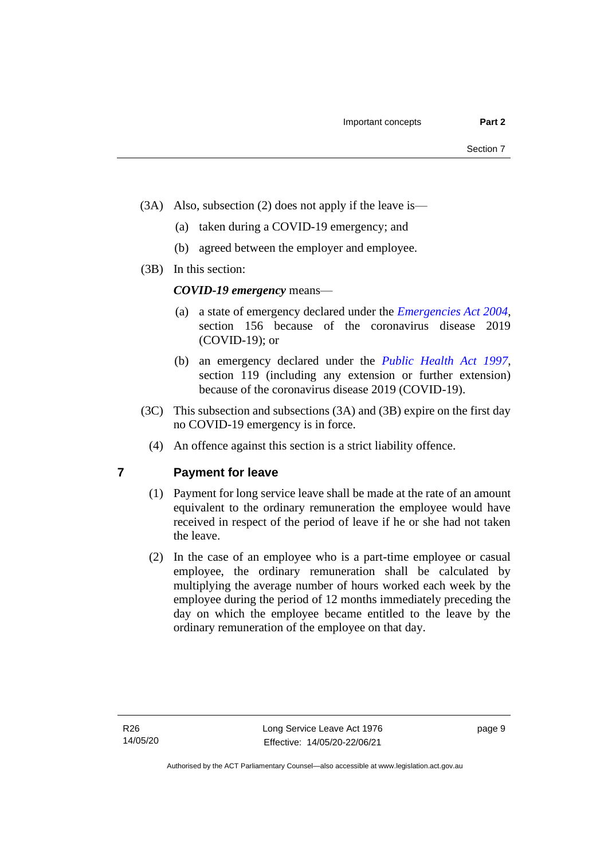- (3A) Also, subsection (2) does not apply if the leave is—
	- (a) taken during a COVID-19 emergency; and
	- (b) agreed between the employer and employee.
- (3B) In this section:

### *COVID-19 emergency* means—

- (a) a state of emergency declared under the *[Emergencies Act 2004](http://www.legislation.act.gov.au/a/2004-28)*, section 156 because of the coronavirus disease 2019 (COVID-19); or
- (b) an emergency declared under the *[Public Health Act 1997](http://www.legislation.act.gov.au/a/1997-69)*, section 119 (including any extension or further extension) because of the coronavirus disease 2019 (COVID-19).
- (3C) This subsection and subsections (3A) and (3B) expire on the first day no COVID-19 emergency is in force.
	- (4) An offence against this section is a strict liability offence.

### <span id="page-14-0"></span>**7 Payment for leave**

- (1) Payment for long service leave shall be made at the rate of an amount equivalent to the ordinary remuneration the employee would have received in respect of the period of leave if he or she had not taken the leave.
- (2) In the case of an employee who is a part-time employee or casual employee, the ordinary remuneration shall be calculated by multiplying the average number of hours worked each week by the employee during the period of 12 months immediately preceding the day on which the employee became entitled to the leave by the ordinary remuneration of the employee on that day.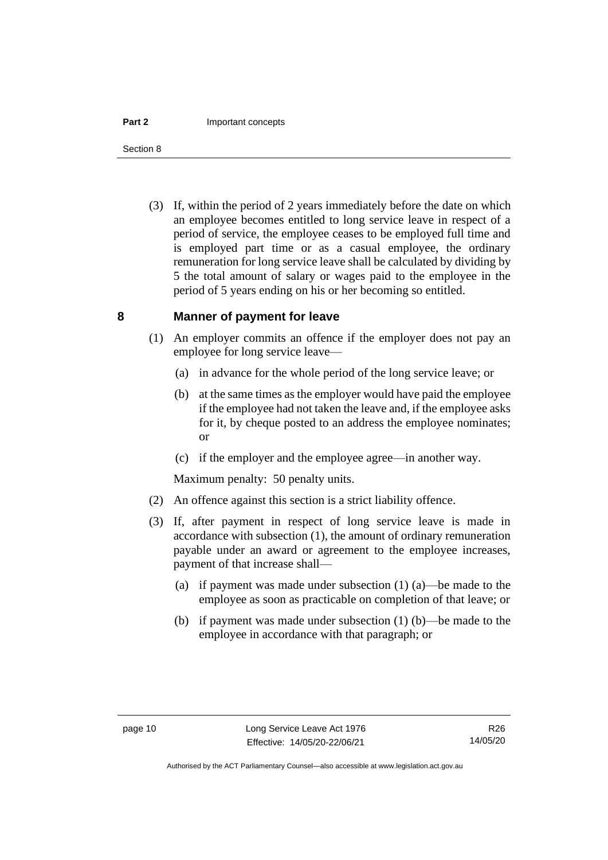#### **Part 2 Important concepts**

Section 8

(3) If, within the period of 2 years immediately before the date on which an employee becomes entitled to long service leave in respect of a period of service, the employee ceases to be employed full time and is employed part time or as a casual employee, the ordinary remuneration for long service leave shall be calculated by dividing by 5 the total amount of salary or wages paid to the employee in the period of 5 years ending on his or her becoming so entitled.

### <span id="page-15-0"></span>**8 Manner of payment for leave**

- (1) An employer commits an offence if the employer does not pay an employee for long service leave—
	- (a) in advance for the whole period of the long service leave; or
	- (b) at the same times as the employer would have paid the employee if the employee had not taken the leave and, if the employee asks for it, by cheque posted to an address the employee nominates; or
	- (c) if the employer and the employee agree—in another way.

Maximum penalty: 50 penalty units.

- (2) An offence against this section is a strict liability offence.
- (3) If, after payment in respect of long service leave is made in accordance with subsection (1), the amount of ordinary remuneration payable under an award or agreement to the employee increases, payment of that increase shall—
	- (a) if payment was made under subsection (1) (a)—be made to the employee as soon as practicable on completion of that leave; or
	- (b) if payment was made under subsection (1) (b)—be made to the employee in accordance with that paragraph; or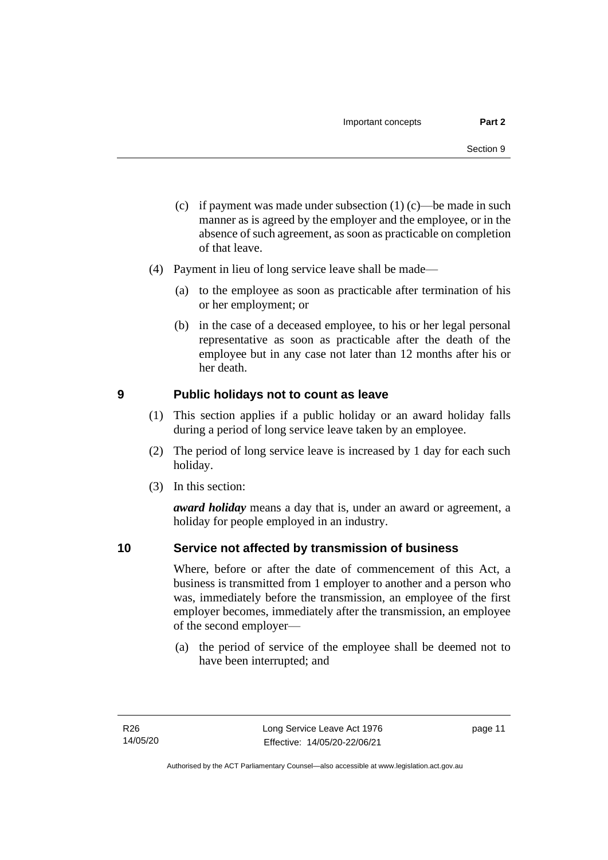- (c) if payment was made under subsection  $(1)$  (c)—be made in such manner as is agreed by the employer and the employee, or in the absence of such agreement, as soon as practicable on completion of that leave.
- (4) Payment in lieu of long service leave shall be made—
	- (a) to the employee as soon as practicable after termination of his or her employment; or
	- (b) in the case of a deceased employee, to his or her legal personal representative as soon as practicable after the death of the employee but in any case not later than 12 months after his or her death.

### <span id="page-16-0"></span>**9 Public holidays not to count as leave**

- (1) This section applies if a public holiday or an award holiday falls during a period of long service leave taken by an employee.
- (2) The period of long service leave is increased by 1 day for each such holiday.
- (3) In this section:

*award holiday* means a day that is, under an award or agreement, a holiday for people employed in an industry.

### <span id="page-16-1"></span>**10 Service not affected by transmission of business**

Where, before or after the date of commencement of this Act, a business is transmitted from 1 employer to another and a person who was, immediately before the transmission, an employee of the first employer becomes, immediately after the transmission, an employee of the second employer—

(a) the period of service of the employee shall be deemed not to have been interrupted; and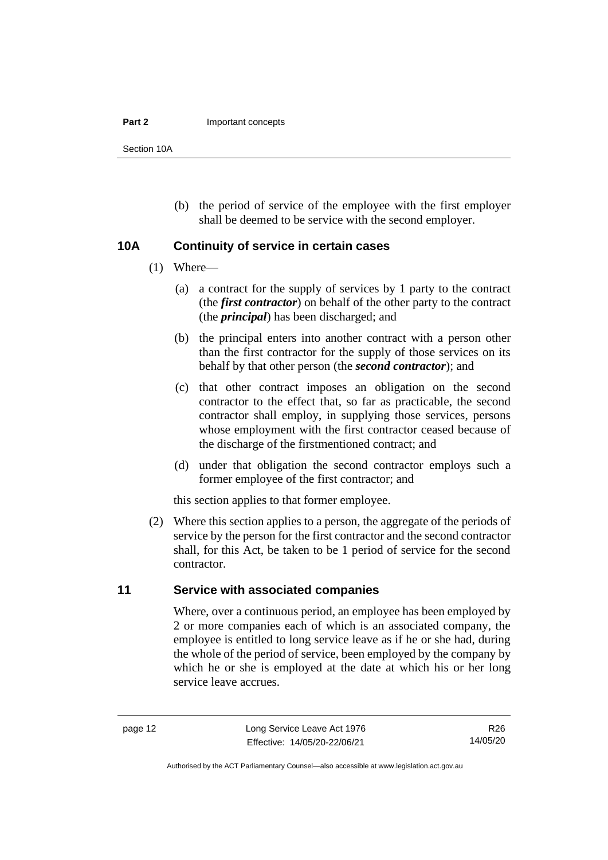#### **Part 2 Important concepts**

Section 10A

(b) the period of service of the employee with the first employer shall be deemed to be service with the second employer.

### <span id="page-17-0"></span>**10A Continuity of service in certain cases**

- (1) Where—
	- (a) a contract for the supply of services by 1 party to the contract (the *first contractor*) on behalf of the other party to the contract (the *principal*) has been discharged; and
	- (b) the principal enters into another contract with a person other than the first contractor for the supply of those services on its behalf by that other person (the *second contractor*); and
	- (c) that other contract imposes an obligation on the second contractor to the effect that, so far as practicable, the second contractor shall employ, in supplying those services, persons whose employment with the first contractor ceased because of the discharge of the firstmentioned contract; and
	- (d) under that obligation the second contractor employs such a former employee of the first contractor; and

this section applies to that former employee.

(2) Where this section applies to a person, the aggregate of the periods of service by the person for the first contractor and the second contractor shall, for this Act, be taken to be 1 period of service for the second contractor.

### <span id="page-17-1"></span>**11 Service with associated companies**

Where, over a continuous period, an employee has been employed by 2 or more companies each of which is an associated company, the employee is entitled to long service leave as if he or she had, during the whole of the period of service, been employed by the company by which he or she is employed at the date at which his or her long service leave accrues.

page 12 Long Service Leave Act 1976 Effective: 14/05/20-22/06/21

Authorised by the ACT Parliamentary Counsel—also accessible at www.legislation.act.gov.au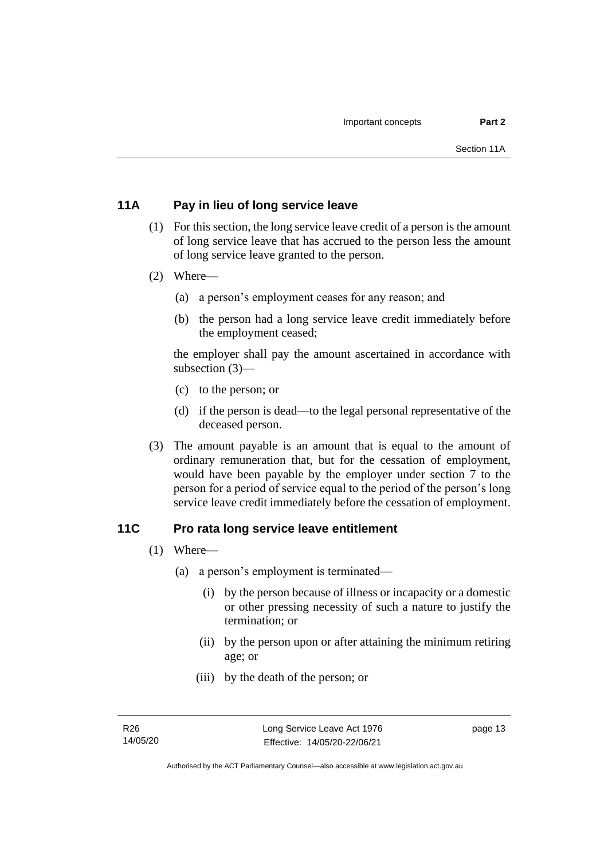### <span id="page-18-0"></span>**11A Pay in lieu of long service leave**

- (1) For this section, the long service leave credit of a person is the amount of long service leave that has accrued to the person less the amount of long service leave granted to the person.
- (2) Where—
	- (a) a person's employment ceases for any reason; and
	- (b) the person had a long service leave credit immediately before the employment ceased;

the employer shall pay the amount ascertained in accordance with subsection (3)—

- (c) to the person; or
- (d) if the person is dead—to the legal personal representative of the deceased person.
- (3) The amount payable is an amount that is equal to the amount of ordinary remuneration that, but for the cessation of employment, would have been payable by the employer under section 7 to the person for a period of service equal to the period of the person's long service leave credit immediately before the cessation of employment.

### <span id="page-18-1"></span>**11C Pro rata long service leave entitlement**

- (1) Where—
	- (a) a person's employment is terminated—
		- (i) by the person because of illness or incapacity or a domestic or other pressing necessity of such a nature to justify the termination; or
		- (ii) by the person upon or after attaining the minimum retiring age; or
		- (iii) by the death of the person; or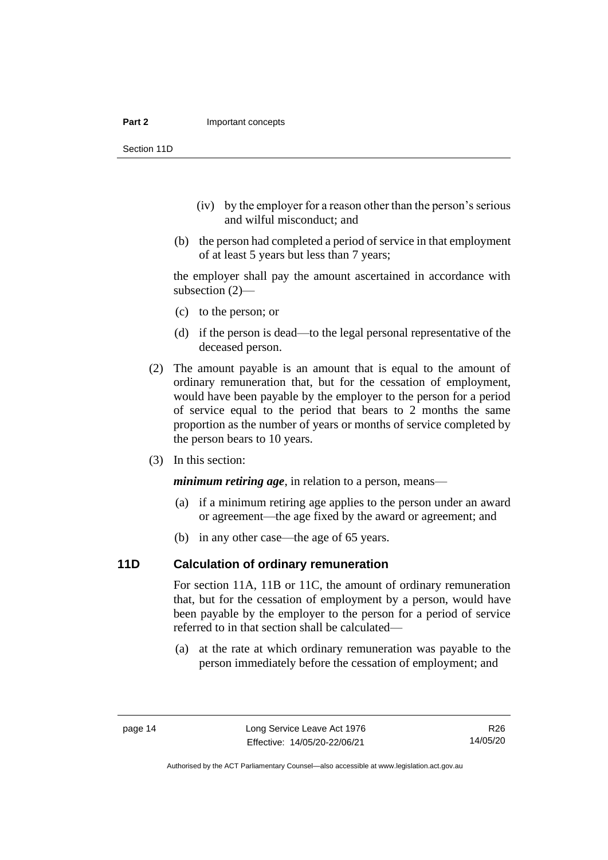#### **Part 2 Important concepts**

Section 11D

- (iv) by the employer for a reason other than the person's serious and wilful misconduct; and
- (b) the person had completed a period of service in that employment of at least 5 years but less than 7 years;

the employer shall pay the amount ascertained in accordance with subsection (2)—

- (c) to the person; or
- (d) if the person is dead—to the legal personal representative of the deceased person.
- (2) The amount payable is an amount that is equal to the amount of ordinary remuneration that, but for the cessation of employment, would have been payable by the employer to the person for a period of service equal to the period that bears to 2 months the same proportion as the number of years or months of service completed by the person bears to 10 years.
- (3) In this section:

*minimum retiring age*, in relation to a person, means—

- (a) if a minimum retiring age applies to the person under an award or agreement—the age fixed by the award or agreement; and
- (b) in any other case—the age of 65 years.

### <span id="page-19-0"></span>**11D Calculation of ordinary remuneration**

For section 11A, 11B or 11C, the amount of ordinary remuneration that, but for the cessation of employment by a person, would have been payable by the employer to the person for a period of service referred to in that section shall be calculated—

(a) at the rate at which ordinary remuneration was payable to the person immediately before the cessation of employment; and

Authorised by the ACT Parliamentary Counsel—also accessible at www.legislation.act.gov.au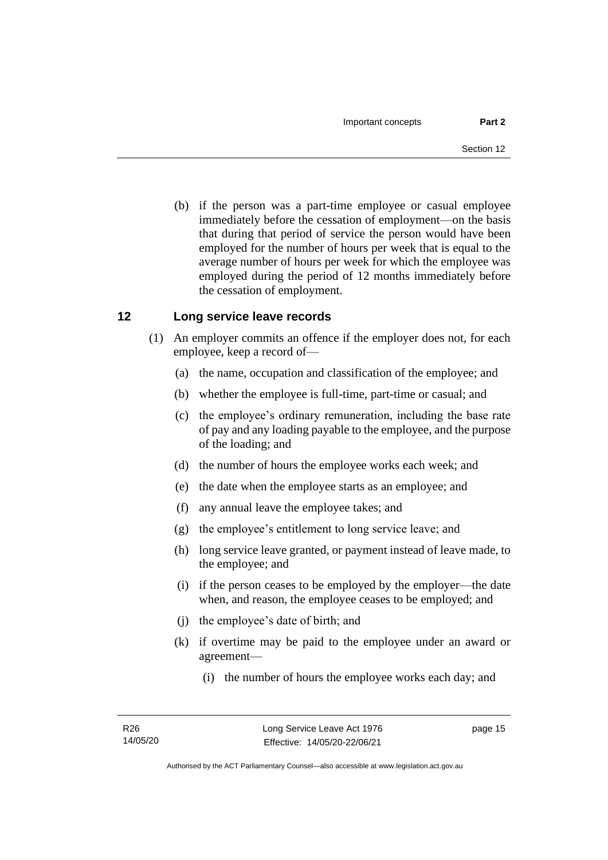(b) if the person was a part-time employee or casual employee immediately before the cessation of employment—on the basis that during that period of service the person would have been employed for the number of hours per week that is equal to the average number of hours per week for which the employee was employed during the period of 12 months immediately before the cessation of employment.

### <span id="page-20-0"></span>**12 Long service leave records**

- (1) An employer commits an offence if the employer does not, for each employee, keep a record of—
	- (a) the name, occupation and classification of the employee; and
	- (b) whether the employee is full-time, part-time or casual; and
	- (c) the employee's ordinary remuneration, including the base rate of pay and any loading payable to the employee, and the purpose of the loading; and
	- (d) the number of hours the employee works each week; and
	- (e) the date when the employee starts as an employee; and
	- (f) any annual leave the employee takes; and
	- (g) the employee's entitlement to long service leave; and
	- (h) long service leave granted, or payment instead of leave made, to the employee; and
	- (i) if the person ceases to be employed by the employer—the date when, and reason, the employee ceases to be employed; and
	- (j) the employee's date of birth; and
	- (k) if overtime may be paid to the employee under an award or agreement—
		- (i) the number of hours the employee works each day; and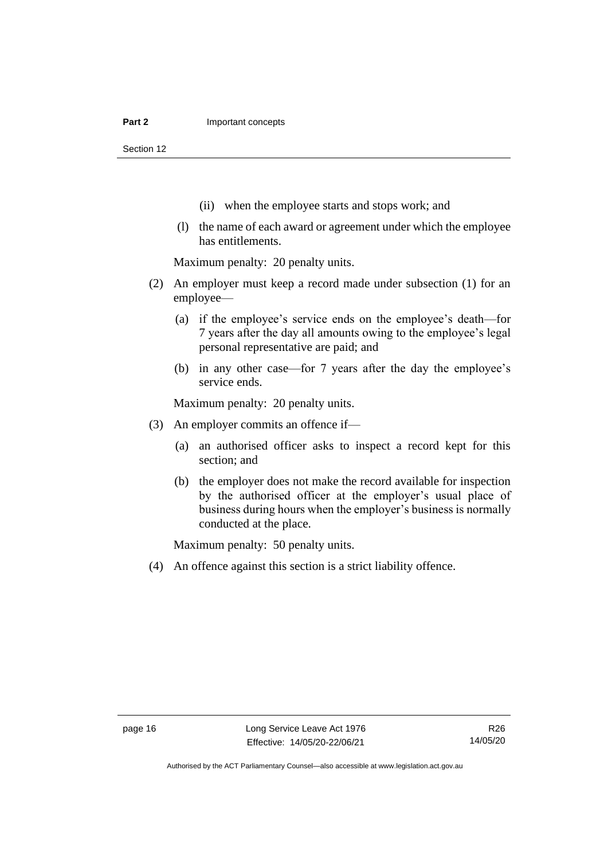#### **Part 2 Important concepts**

Section 12

- (ii) when the employee starts and stops work; and
- (l) the name of each award or agreement under which the employee has entitlements.

Maximum penalty: 20 penalty units.

- (2) An employer must keep a record made under subsection (1) for an employee—
	- (a) if the employee's service ends on the employee's death—for 7 years after the day all amounts owing to the employee's legal personal representative are paid; and
	- (b) in any other case—for 7 years after the day the employee's service ends.

Maximum penalty: 20 penalty units.

- (3) An employer commits an offence if—
	- (a) an authorised officer asks to inspect a record kept for this section; and
	- (b) the employer does not make the record available for inspection by the authorised officer at the employer's usual place of business during hours when the employer's business is normally conducted at the place.

Maximum penalty: 50 penalty units.

(4) An offence against this section is a strict liability offence.

Authorised by the ACT Parliamentary Counsel—also accessible at www.legislation.act.gov.au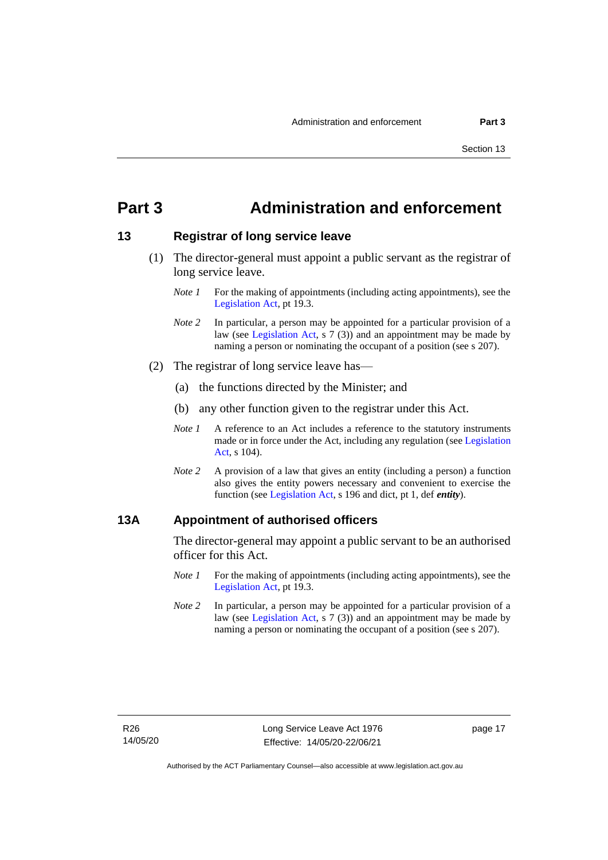## <span id="page-22-0"></span>**Part 3 Administration and enforcement**

### <span id="page-22-1"></span>**13 Registrar of long service leave**

- (1) The director-general must appoint a public servant as the registrar of long service leave.
	- *Note 1* For the making of appointments (including acting appointments), see the [Legislation Act,](http://www.legislation.act.gov.au/a/2001-14) pt 19.3.
	- *Note* 2 In particular, a person may be appointed for a particular provision of a law (see [Legislation Act,](http://www.legislation.act.gov.au/a/2001-14) s 7 (3)) and an appointment may be made by naming a person or nominating the occupant of a position (see s 207).
- (2) The registrar of long service leave has—
	- (a) the functions directed by the Minister; and
	- (b) any other function given to the registrar under this Act.
	- *Note 1* A reference to an Act includes a reference to the statutory instruments made or in force under the Act, including any regulation (se[e Legislation](http://www.legislation.act.gov.au/a/2001-14)  [Act,](http://www.legislation.act.gov.au/a/2001-14) s 104).
	- *Note 2* A provision of a law that gives an entity (including a person) a function also gives the entity powers necessary and convenient to exercise the function (see [Legislation Act,](http://www.legislation.act.gov.au/a/2001-14) s 196 and dict, pt 1, def *entity*).

### <span id="page-22-2"></span>**13A Appointment of authorised officers**

The director-general may appoint a public servant to be an authorised officer for this Act.

- *Note 1* For the making of appointments (including acting appointments), see the [Legislation Act,](http://www.legislation.act.gov.au/a/2001-14) pt 19.3.
- *Note 2* In particular, a person may be appointed for a particular provision of a law (see [Legislation Act,](http://www.legislation.act.gov.au/a/2001-14) s 7 (3)) and an appointment may be made by naming a person or nominating the occupant of a position (see s 207).

page 17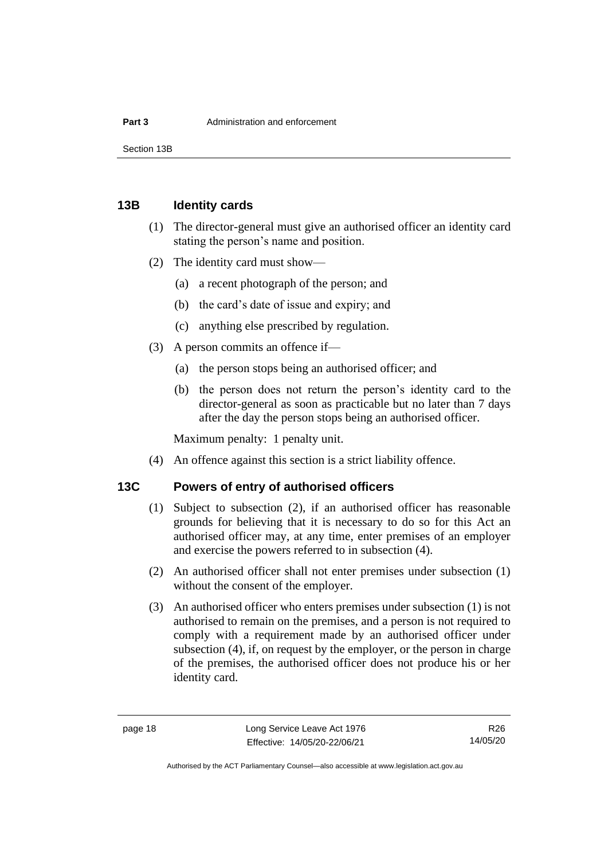Section 13B

### <span id="page-23-0"></span>**13B Identity cards**

- (1) The director-general must give an authorised officer an identity card stating the person's name and position.
- (2) The identity card must show—
	- (a) a recent photograph of the person; and
	- (b) the card's date of issue and expiry; and
	- (c) anything else prescribed by regulation.
- (3) A person commits an offence if—
	- (a) the person stops being an authorised officer; and
	- (b) the person does not return the person's identity card to the director-general as soon as practicable but no later than 7 days after the day the person stops being an authorised officer.

Maximum penalty: 1 penalty unit.

(4) An offence against this section is a strict liability offence.

### <span id="page-23-1"></span>**13C Powers of entry of authorised officers**

- (1) Subject to subsection (2), if an authorised officer has reasonable grounds for believing that it is necessary to do so for this Act an authorised officer may, at any time, enter premises of an employer and exercise the powers referred to in subsection (4).
- (2) An authorised officer shall not enter premises under subsection (1) without the consent of the employer.
- (3) An authorised officer who enters premises under subsection (1) is not authorised to remain on the premises, and a person is not required to comply with a requirement made by an authorised officer under subsection (4), if, on request by the employer, or the person in charge of the premises, the authorised officer does not produce his or her identity card.

Authorised by the ACT Parliamentary Counsel—also accessible at www.legislation.act.gov.au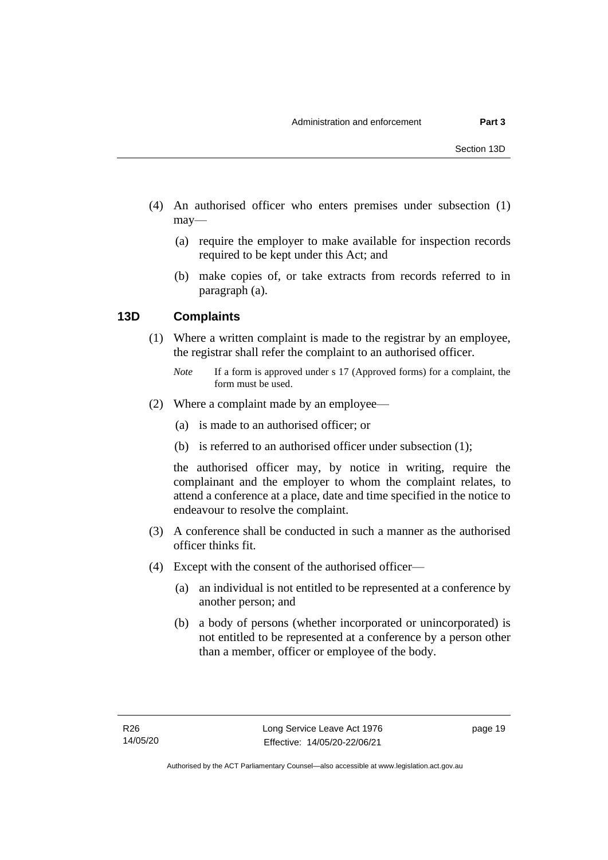- (4) An authorised officer who enters premises under subsection (1) may—
	- (a) require the employer to make available for inspection records required to be kept under this Act; and
	- (b) make copies of, or take extracts from records referred to in paragraph (a).

### <span id="page-24-0"></span>**13D Complaints**

(1) Where a written complaint is made to the registrar by an employee, the registrar shall refer the complaint to an authorised officer.

- (2) Where a complaint made by an employee—
	- (a) is made to an authorised officer; or
	- (b) is referred to an authorised officer under subsection (1);

the authorised officer may, by notice in writing, require the complainant and the employer to whom the complaint relates, to attend a conference at a place, date and time specified in the notice to endeavour to resolve the complaint.

- (3) A conference shall be conducted in such a manner as the authorised officer thinks fit.
- (4) Except with the consent of the authorised officer—
	- (a) an individual is not entitled to be represented at a conference by another person; and
	- (b) a body of persons (whether incorporated or unincorporated) is not entitled to be represented at a conference by a person other than a member, officer or employee of the body.

*Note* If a form is approved under s 17 (Approved forms) for a complaint, the form must be used.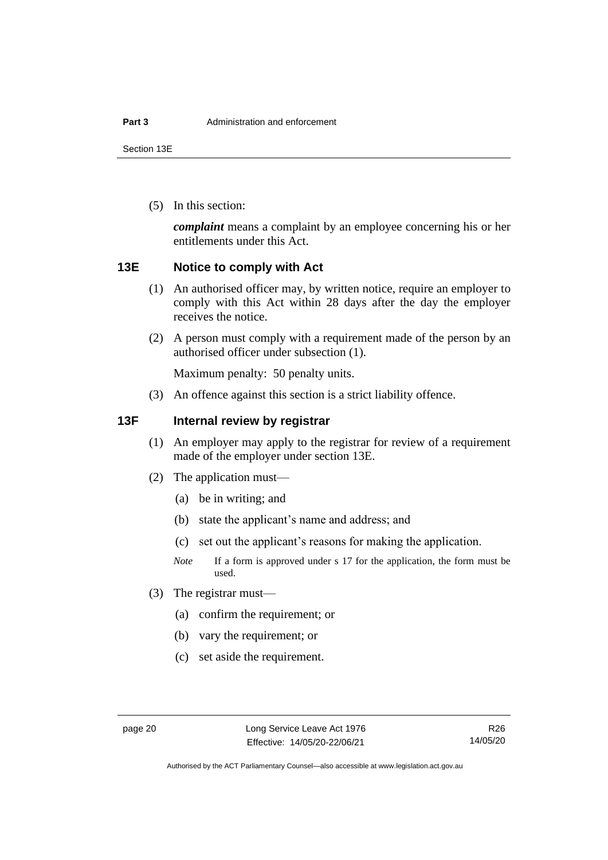Section 13E

(5) In this section:

*complaint* means a complaint by an employee concerning his or her entitlements under this Act.

### <span id="page-25-0"></span>**13E Notice to comply with Act**

- (1) An authorised officer may, by written notice, require an employer to comply with this Act within 28 days after the day the employer receives the notice.
- (2) A person must comply with a requirement made of the person by an authorised officer under subsection (1).

Maximum penalty: 50 penalty units.

(3) An offence against this section is a strict liability offence.

### <span id="page-25-1"></span>**13F Internal review by registrar**

- (1) An employer may apply to the registrar for review of a requirement made of the employer under section 13E.
- (2) The application must—
	- (a) be in writing; and
	- (b) state the applicant's name and address; and
	- (c) set out the applicant's reasons for making the application.
	- *Note* If a form is approved under s 17 for the application, the form must be used.
- (3) The registrar must—
	- (a) confirm the requirement; or
	- (b) vary the requirement; or
	- (c) set aside the requirement.

Authorised by the ACT Parliamentary Counsel—also accessible at www.legislation.act.gov.au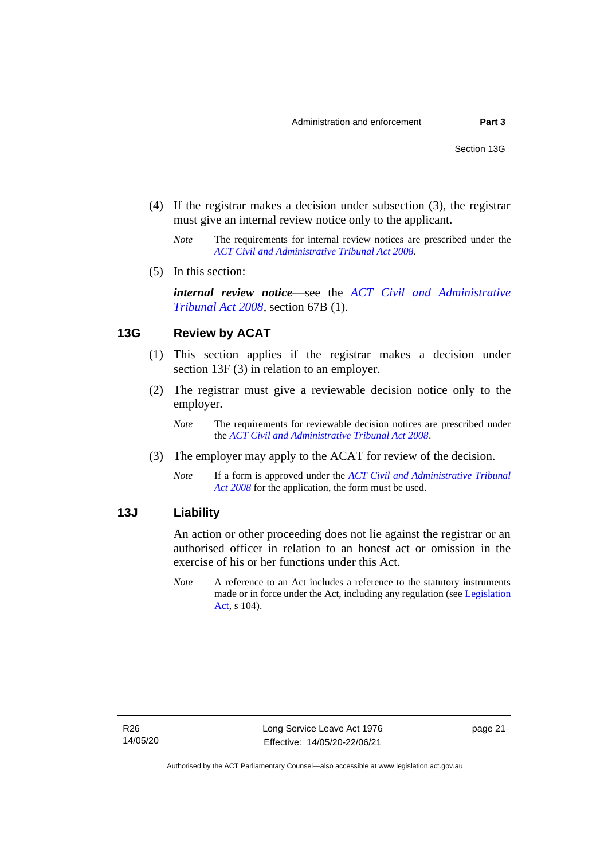- (4) If the registrar makes a decision under subsection (3), the registrar must give an internal review notice only to the applicant.
	- *Note* The requirements for internal review notices are prescribed under the *[ACT Civil and Administrative Tribunal Act 2008](http://www.legislation.act.gov.au/a/2008-35)*.
- (5) In this section:

*internal review notice*—see the *[ACT Civil and Administrative](http://www.legislation.act.gov.au/a/2008-35)  [Tribunal Act 2008](http://www.legislation.act.gov.au/a/2008-35)*, section 67B (1).

### <span id="page-26-0"></span>**13G Review by ACAT**

- (1) This section applies if the registrar makes a decision under section 13F (3) in relation to an employer.
- (2) The registrar must give a reviewable decision notice only to the employer.
	- *Note* The requirements for reviewable decision notices are prescribed under the *[ACT Civil and Administrative Tribunal Act 2008](http://www.legislation.act.gov.au/a/2008-35)*.
- (3) The employer may apply to the ACAT for review of the decision.
	- *Note* If a form is approved under the *[ACT Civil and Administrative Tribunal](http://www.legislation.act.gov.au/a/2008-35)  [Act 2008](http://www.legislation.act.gov.au/a/2008-35)* for the application, the form must be used.

### <span id="page-26-1"></span>**13J Liability**

An action or other proceeding does not lie against the registrar or an authorised officer in relation to an honest act or omission in the exercise of his or her functions under this Act.

*Note* A reference to an Act includes a reference to the statutory instruments made or in force under the Act, including any regulation (see [Legislation](http://www.legislation.act.gov.au/a/2001-14)  [Act,](http://www.legislation.act.gov.au/a/2001-14) s 104).

page 21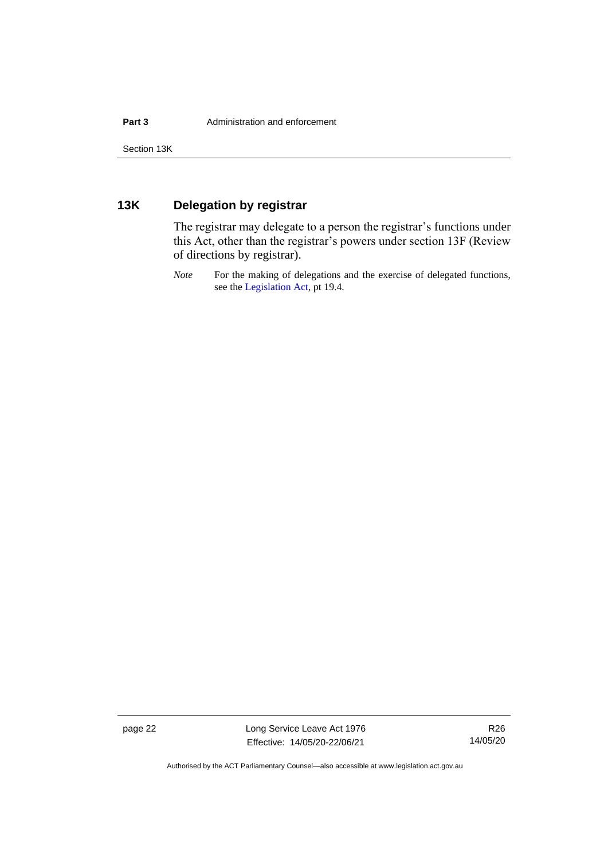### <span id="page-27-0"></span>**13K Delegation by registrar**

The registrar may delegate to a person the registrar's functions under this Act, other than the registrar's powers under section 13F (Review of directions by registrar).

*Note* For the making of delegations and the exercise of delegated functions, see the [Legislation Act,](http://www.legislation.act.gov.au/a/2001-14) pt 19.4.

page 22 Long Service Leave Act 1976 Effective: 14/05/20-22/06/21

R26 14/05/20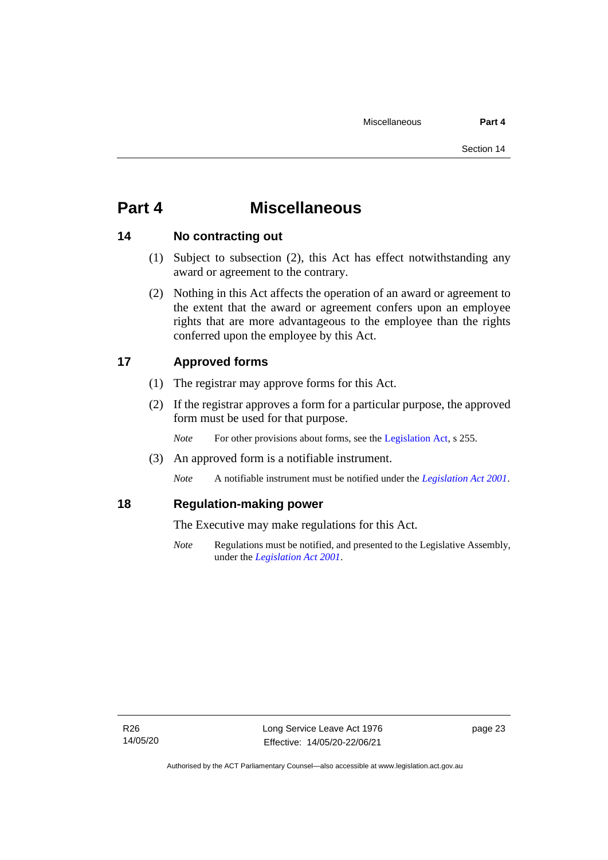## <span id="page-28-0"></span>**Part 4 Miscellaneous**

### <span id="page-28-1"></span>**14 No contracting out**

- (1) Subject to subsection (2), this Act has effect notwithstanding any award or agreement to the contrary.
- (2) Nothing in this Act affects the operation of an award or agreement to the extent that the award or agreement confers upon an employee rights that are more advantageous to the employee than the rights conferred upon the employee by this Act.

### <span id="page-28-2"></span>**17 Approved forms**

- (1) The registrar may approve forms for this Act.
- (2) If the registrar approves a form for a particular purpose, the approved form must be used for that purpose.

*Note* For other provisions about forms, see the [Legislation Act,](http://www.legislation.act.gov.au/a/2001-14) s 255.

(3) An approved form is a notifiable instrument.

*Note* A notifiable instrument must be notified under the *[Legislation Act 2001](http://www.legislation.act.gov.au/a/2001-14)*.

### <span id="page-28-3"></span>**18 Regulation-making power**

The Executive may make regulations for this Act.

*Note* Regulations must be notified, and presented to the Legislative Assembly, under the *[Legislation Act 2001](http://www.legislation.act.gov.au/a/2001-14)*.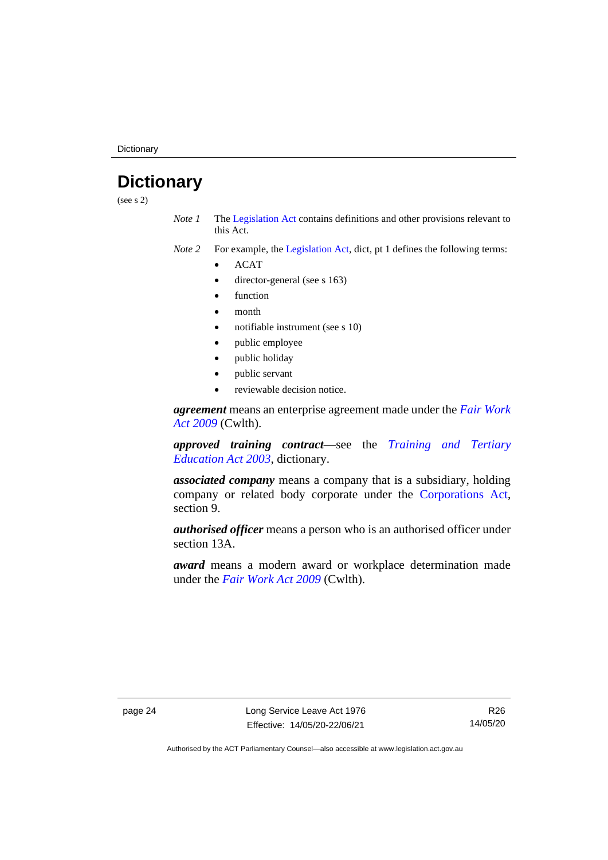**Dictionary** 

# <span id="page-29-0"></span>**Dictionary**

(see s 2)

*Note 1* The [Legislation Act](http://www.legislation.act.gov.au/a/2001-14) contains definitions and other provisions relevant to this Act.

*Note 2* For example, the [Legislation Act,](http://www.legislation.act.gov.au/a/2001-14) dict, pt 1 defines the following terms:

- ACAT
- director-general (see s 163)
- **function**
- month
- notifiable instrument (see s 10)
- public employee
- public holiday
- public servant
- reviewable decision notice.

*agreement* means an enterprise agreement made under the *[Fair Work](http://www.comlaw.gov.au/Series/C2009A00028)  [Act 2009](http://www.comlaw.gov.au/Series/C2009A00028)* (Cwlth).

*approved training contract—*see the *[Training and Tertiary](http://www.legislation.act.gov.au/a/2003-36)  [Education Act 2003](http://www.legislation.act.gov.au/a/2003-36)*, dictionary.

*associated company* means a company that is a subsidiary, holding company or related body corporate under the [Corporations Act,](http://www.comlaw.gov.au/Series/C2004A00818) section 9.

*authorised officer* means a person who is an authorised officer under section 13A.

*award* means a modern award or workplace determination made under the *[Fair Work Act 2009](http://www.comlaw.gov.au/Series/C2009A00028)* (Cwlth).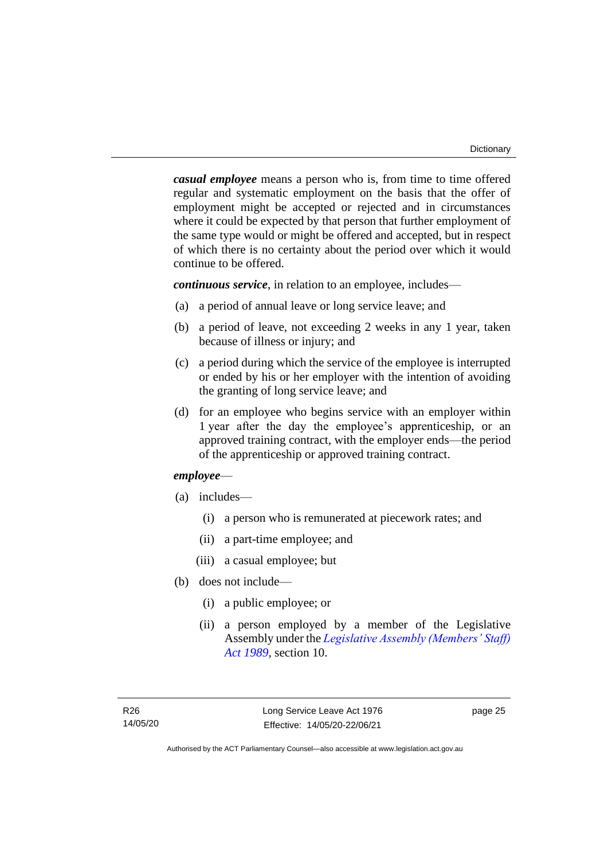*casual employee* means a person who is, from time to time offered regular and systematic employment on the basis that the offer of employment might be accepted or rejected and in circumstances where it could be expected by that person that further employment of the same type would or might be offered and accepted, but in respect of which there is no certainty about the period over which it would continue to be offered.

*continuous service*, in relation to an employee, includes—

- (a) a period of annual leave or long service leave; and
- (b) a period of leave, not exceeding 2 weeks in any 1 year, taken because of illness or injury; and
- (c) a period during which the service of the employee is interrupted or ended by his or her employer with the intention of avoiding the granting of long service leave; and
- (d) for an employee who begins service with an employer within 1 year after the day the employee's apprenticeship, or an approved training contract, with the employer ends—the period of the apprenticeship or approved training contract.

### *employee*—

- (a) includes—
	- (i) a person who is remunerated at piecework rates; and
	- (ii) a part-time employee; and
	- (iii) a casual employee; but
- (b) does not include—
	- (i) a public employee; or
	- (ii) a person employed by a member of the Legislative Assembly under the *[Legislative Assembly \(Members' Staff\)](http://www.legislation.act.gov.au/a/1989-19)  [Act 1989](http://www.legislation.act.gov.au/a/1989-19)*, section 10.

page 25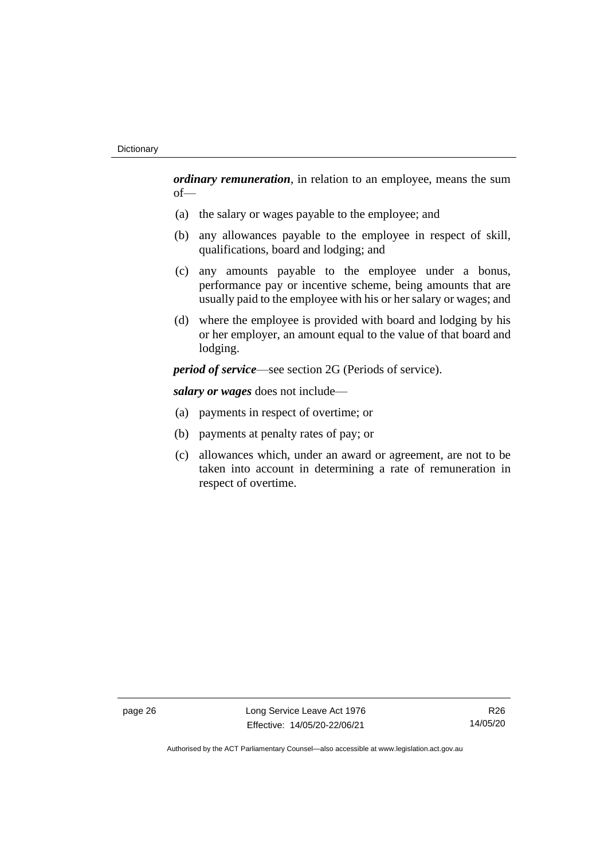*ordinary remuneration*, in relation to an employee, means the sum of—

- (a) the salary or wages payable to the employee; and
- (b) any allowances payable to the employee in respect of skill, qualifications, board and lodging; and
- (c) any amounts payable to the employee under a bonus, performance pay or incentive scheme, being amounts that are usually paid to the employee with his or her salary or wages; and
- (d) where the employee is provided with board and lodging by his or her employer, an amount equal to the value of that board and lodging.

*period of service*—see section 2G (Periods of service).

*salary or wages* does not include—

- (a) payments in respect of overtime; or
- (b) payments at penalty rates of pay; or
- (c) allowances which, under an award or agreement, are not to be taken into account in determining a rate of remuneration in respect of overtime.

page 26 Long Service Leave Act 1976 Effective: 14/05/20-22/06/21

R26 14/05/20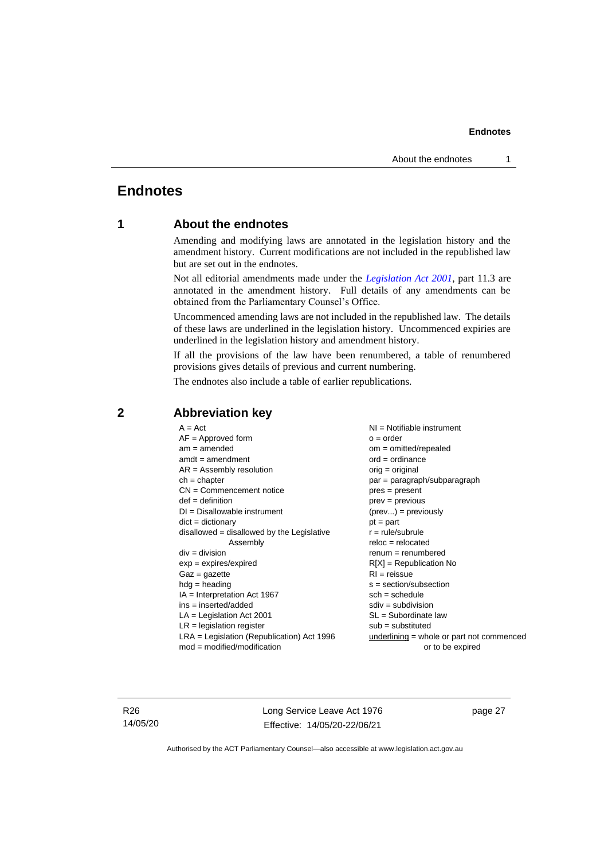### <span id="page-32-1"></span><span id="page-32-0"></span>**Endnotes**

### **1 About the endnotes**

Amending and modifying laws are annotated in the legislation history and the amendment history. Current modifications are not included in the republished law but are set out in the endnotes.

Not all editorial amendments made under the *[Legislation Act 2001](http://www.legislation.act.gov.au/a/2001-14)*, part 11.3 are annotated in the amendment history. Full details of any amendments can be obtained from the Parliamentary Counsel's Office.

Uncommenced amending laws are not included in the republished law. The details of these laws are underlined in the legislation history. Uncommenced expiries are underlined in the legislation history and amendment history.

If all the provisions of the law have been renumbered, a table of renumbered provisions gives details of previous and current numbering.

The endnotes also include a table of earlier republications.

| $A = Act$                                    | $NI = Notifiable$ instrument                |
|----------------------------------------------|---------------------------------------------|
| $AF =$ Approved form                         | $o = order$                                 |
| $am = amended$                               | $om = omitted/repealed$                     |
| $amdt = amendment$                           | $ord = ordinance$                           |
| $AR = Assembly resolution$                   | $orig = original$                           |
| $ch = chapter$                               | par = paragraph/subparagraph                |
| $CN =$ Commencement notice                   | pres = present                              |
| $def = definition$                           | $prev = previous$                           |
| $DI = Disallowable instrument$               | $(\text{prev}) = \text{previously}$         |
| $dict = dictionary$                          | $pt = part$                                 |
| $disallowed = disallowed by the Legislative$ | $r = rule/subrule$                          |
| Assembly                                     | $reloc = relocated$                         |
| $div = division$                             | $renum = renumbered$                        |
| $exp = expires/expired$                      | $R[X]$ = Republication No                   |
| $Gaz = gazette$                              | $RI =$ reissue                              |
| $hdg =$ heading                              | $s = section/subsection$                    |
| $IA = Interpretation Act 1967$               | $sch = schedule$                            |
| ins = inserted/added                         | $sdiv = subdivision$                        |
| $LA =$ Legislation Act 2001                  | $SL = Subordinate$ law                      |
| $LR =$ legislation register                  | $sub =$ substituted                         |
| $LRA =$ Legislation (Republication) Act 1996 | $underlining = whole or part not commenced$ |
| $mod = modified/modification$                | or to be expired                            |
|                                              |                                             |

### <span id="page-32-2"></span>**2 Abbreviation key**

R26 14/05/20 Long Service Leave Act 1976 Effective: 14/05/20-22/06/21

page 27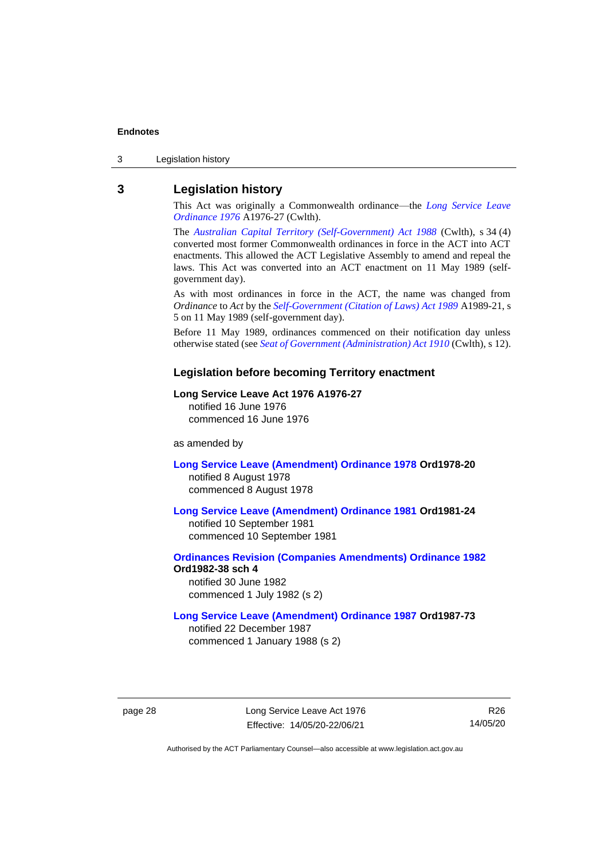3 Legislation history

### <span id="page-33-0"></span>**3 Legislation history**

This Act was originally a Commonwealth ordinance—the *[Long Service Leave](http://www.legislation.act.gov.au/a/1976-27)  [Ordinance 1976](http://www.legislation.act.gov.au/a/1976-27)* A1976-27 (Cwlth).

The *[Australian Capital Territory \(Self-Government\) Act 1988](http://www.comlaw.gov.au/Series/C2004A03699)* (Cwlth), s 34 (4) converted most former Commonwealth ordinances in force in the ACT into ACT enactments. This allowed the ACT Legislative Assembly to amend and repeal the laws. This Act was converted into an ACT enactment on 11 May 1989 (selfgovernment day).

As with most ordinances in force in the ACT, the name was changed from *Ordinance* to *Act* by the *[Self-Government \(Citation of Laws\) Act 1989](http://www.legislation.act.gov.au/a/alt_ord1989-21/default.asp)* A1989-21, s 5 on 11 May 1989 (self-government day).

Before 11 May 1989, ordinances commenced on their notification day unless otherwise stated (see *[Seat of Government \(Administration\) Act 1910](http://www.comlaw.gov.au/Series/C2004A07446)* (Cwlth), s 12).

#### **Legislation before becoming Territory enactment**

#### **Long Service Leave Act 1976 A1976-27**

notified 16 June 1976 commenced 16 June 1976

as amended by

**[Long Service Leave \(Amendment\) Ordinance 1978](http://www.legislation.act.gov.au/a/1978-20) Ord1978-20** notified 8 August 1978 commenced 8 August 1978

**[Long Service Leave \(Amendment\) Ordinance 1981](http://www.legislation.act.gov.au/a/1981-24) Ord1981-24**

notified 10 September 1981 commenced 10 September 1981

**[Ordinances Revision \(Companies Amendments\) Ordinance 1982](http://www.legislation.act.gov.au/ord/1982-38) Ord1982-38 sch 4** notified 30 June 1982

commenced 1 July 1982 (s 2)

#### **[Long Service Leave \(Amendment\) Ordinance 1987](http://www.legislation.act.gov.au/a/1987-73) Ord1987-73**

notified 22 December 1987 commenced 1 January 1988 (s 2)

page 28 Long Service Leave Act 1976 Effective: 14/05/20-22/06/21

R26 14/05/20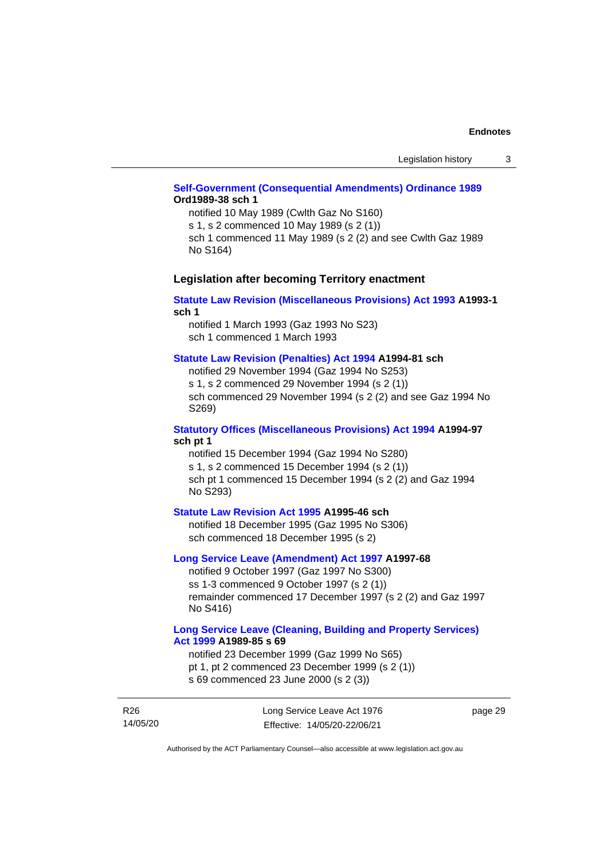### **[Self-Government \(Consequential Amendments\) Ordinance 1989](http://www.legislation.act.gov.au/a/1989-38) Ord1989-38 sch 1**

notified 10 May 1989 (Cwlth Gaz No S160) s 1, s 2 commenced 10 May 1989 (s 2 (1))

sch 1 commenced 11 May 1989 (s 2 (2) and see Cwlth Gaz 1989 No S164)

### **Legislation after becoming Territory enactment**

#### **[Statute Law Revision \(Miscellaneous Provisions\) Act 1993](http://www.legislation.act.gov.au/a/1993-1) A1993-1 sch 1**

notified 1 March 1993 (Gaz 1993 No S23) sch 1 commenced 1 March 1993

#### **[Statute Law Revision \(Penalties\) Act 1994](http://www.legislation.act.gov.au/a/1994-81) A1994-81 sch**

notified 29 November 1994 (Gaz 1994 No S253) s 1, s 2 commenced 29 November 1994 (s 2 (1)) sch commenced 29 November 1994 (s 2 (2) and see Gaz 1994 No S269)

#### **[Statutory Offices \(Miscellaneous Provisions\) Act 1994](http://www.legislation.act.gov.au/a/1994-97) A1994-97 sch pt 1**

notified 15 December 1994 (Gaz 1994 No S280) s 1, s 2 commenced 15 December 1994 (s 2 (1)) sch pt 1 commenced 15 December 1994 (s 2 (2) and Gaz 1994 No S293)

#### **[Statute Law Revision Act 1995](http://www.legislation.act.gov.au/a/1995-46) A1995-46 sch**

notified 18 December 1995 (Gaz 1995 No S306) sch commenced 18 December 1995 (s 2)

#### **[Long Service Leave \(Amendment\) Act 1997](http://www.legislation.act.gov.au/a/1997-68) A1997-68**

notified 9 October 1997 (Gaz 1997 No S300) ss 1-3 commenced 9 October 1997 (s 2 (1)) remainder commenced 17 December 1997 (s 2 (2) and Gaz 1997 No S416)

#### **[Long Service Leave \(Cleaning, Building and Property Services\)](http://www.legislation.act.gov.au/a/1999-85)  Act [1999](http://www.legislation.act.gov.au/a/1999-85) A1989-85 s 69**

notified 23 December 1999 (Gaz 1999 No S65) pt 1, pt 2 commenced 23 December 1999 (s 2 (1)) s 69 commenced 23 June 2000 (s 2 (3))

R26 14/05/20 Long Service Leave Act 1976 Effective: 14/05/20-22/06/21

page 29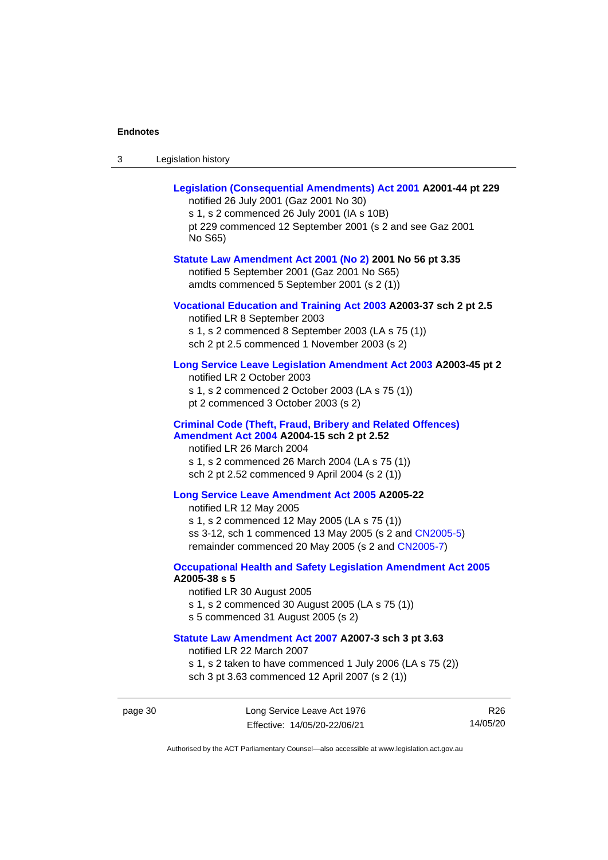page 30

| 3 | Legislation history |
|---|---------------------|
|---|---------------------|

| jislation history                                                                                                                                                                                                                               |                 |
|-------------------------------------------------------------------------------------------------------------------------------------------------------------------------------------------------------------------------------------------------|-----------------|
| Legislation (Consequential Amendments) Act 2001 A2001-44 pt 229<br>notified 26 July 2001 (Gaz 2001 No 30)<br>s 1, s 2 commenced 26 July 2001 (IA s 10B)<br>pt 229 commenced 12 September 2001 (s 2 and see Gaz 2001<br>No S65)                  |                 |
| Statute Law Amendment Act 2001 (No 2) 2001 No 56 pt 3.35<br>notified 5 September 2001 (Gaz 2001 No S65)<br>amdts commenced 5 September 2001 (s 2 (1))                                                                                           |                 |
| Vocational Education and Training Act 2003 A2003-37 sch 2 pt 2.5<br>notified LR 8 September 2003<br>s 1, s 2 commenced 8 September 2003 (LA s 75 (1))<br>sch 2 pt 2.5 commenced 1 November 2003 (s 2)                                           |                 |
| Long Service Leave Legislation Amendment Act 2003 A2003-45 pt 2<br>notified LR 2 October 2003<br>s 1, s 2 commenced 2 October 2003 (LA s 75 (1))<br>pt 2 commenced 3 October 2003 (s 2)                                                         |                 |
| <b>Criminal Code (Theft, Fraud, Bribery and Related Offences)</b><br>Amendment Act 2004 A2004-15 sch 2 pt 2.52<br>notified LR 26 March 2004<br>s 1, s 2 commenced 26 March 2004 (LA s 75 (1))<br>sch 2 pt 2.52 commenced 9 April 2004 (s 2 (1)) |                 |
| Long Service Leave Amendment Act 2005 A2005-22<br>notified LR 12 May 2005<br>s 1, s 2 commenced 12 May 2005 (LA s 75 (1))<br>ss 3-12, sch 1 commenced 13 May 2005 (s 2 and CN2005-5)<br>remainder commenced 20 May 2005 (s 2 and CN2005-7)      |                 |
| <b>Occupational Health and Safety Legislation Amendment Act 2005</b><br>A2005-38 s 5<br>notified LR 30 August 2005<br>s 1, s 2 commenced 30 August 2005 (LA s 75 (1))<br>s 5 commenced 31 August 2005 (s 2)                                     |                 |
| Statute Law Amendment Act 2007 A2007-3 sch 3 pt 3.63<br>notified LR 22 March 2007<br>s 1, s 2 taken to have commenced 1 July 2006 (LA s 75 (2))<br>sch 3 pt 3.63 commenced 12 April 2007 (s 2 (1))                                              |                 |
| Long Service Leave Act 1976<br>Effective: 14/05/20-22/06/21                                                                                                                                                                                     | R26<br>14/05/20 |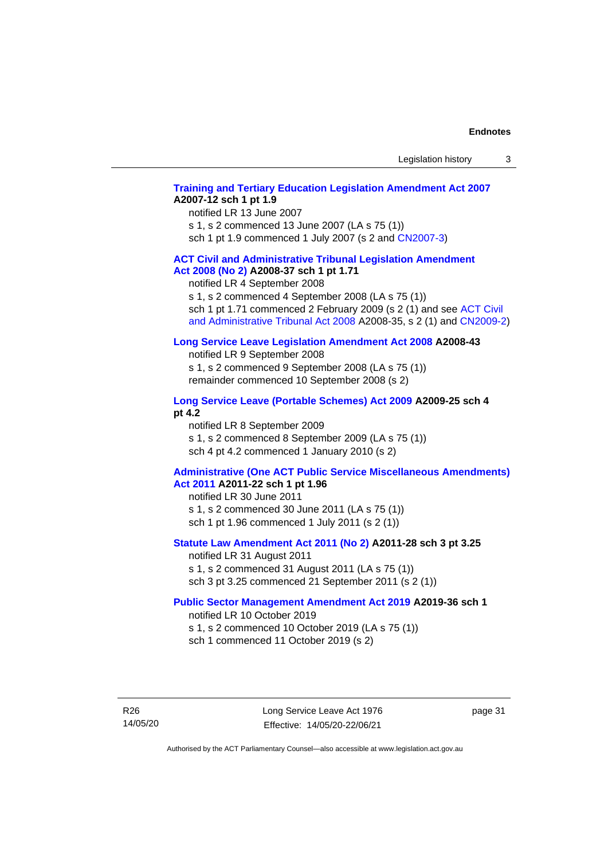### **[Training and Tertiary Education Legislation Amendment Act 2007](http://www.legislation.act.gov.au/a/2007-12) A2007-12 sch 1 pt 1.9**

notified LR 13 June 2007

s 1, s 2 commenced 13 June 2007 (LA s 75 (1)) sch 1 pt 1.9 commenced 1 July 2007 (s 2 and [CN2007-3\)](http://www.legislation.act.gov.au/cn/2007-3/default.asp)

#### **[ACT Civil and Administrative Tribunal Legislation Amendment](http://www.legislation.act.gov.au/a/2008-37)  Act [2008 \(No](http://www.legislation.act.gov.au/a/2008-37) 2) A2008-37 sch 1 pt 1.71**

notified LR 4 September 2008

s 1, s 2 commenced 4 September 2008 (LA s 75 (1))

sch 1 pt 1.71 commenced 2 February 2009 (s 2 (1) and see ACT Civil [and Administrative Tribunal Act 2008](http://www.legislation.act.gov.au/a/2008-35) A2008-35, s 2 (1) and [CN2009-2\)](http://www.legislation.act.gov.au/cn/2009-2/default.asp)

#### **[Long Service Leave Legislation Amendment Act 2008](http://www.legislation.act.gov.au/a/2008-43) A2008-43**

notified LR 9 September 2008 s 1, s 2 commenced 9 September 2008 (LA s 75 (1)) remainder commenced 10 September 2008 (s 2)

#### **[Long Service Leave \(Portable Schemes\) Act 2009](http://www.legislation.act.gov.au/a/2009-25#history) A2009-25 sch 4 pt 4.2**

notified LR 8 September 2009 s 1, s 2 commenced 8 September 2009 (LA s 75 (1)) sch 4 pt 4.2 commenced 1 January 2010 (s 2)

#### **[Administrative \(One ACT Public Service Miscellaneous Amendments\)](http://www.legislation.act.gov.au/a/2011-22)  Act [2011](http://www.legislation.act.gov.au/a/2011-22) A2011-22 sch 1 pt 1.96**

notified LR 30 June 2011 s 1, s 2 commenced 30 June 2011 (LA s 75 (1)) sch 1 pt 1.96 commenced 1 July 2011 (s 2 (1))

### **[Statute Law Amendment Act 2011 \(No 2\)](http://www.legislation.act.gov.au/a/2011-28) A2011-28 sch 3 pt 3.25**

notified LR 31 August 2011 s 1, s 2 commenced 31 August 2011 (LA s 75 (1)) sch 3 pt 3.25 commenced 21 September 2011 (s 2 (1))

#### **[Public Sector Management Amendment Act 2019](http://www.legislation.act.gov.au/a/2019-36/default.asp) A2019-36 sch 1**

notified LR 10 October 2019 s 1, s 2 commenced 10 October 2019 (LA s 75 (1)) sch 1 commenced 11 October 2019 (s 2)

R26 14/05/20 page 31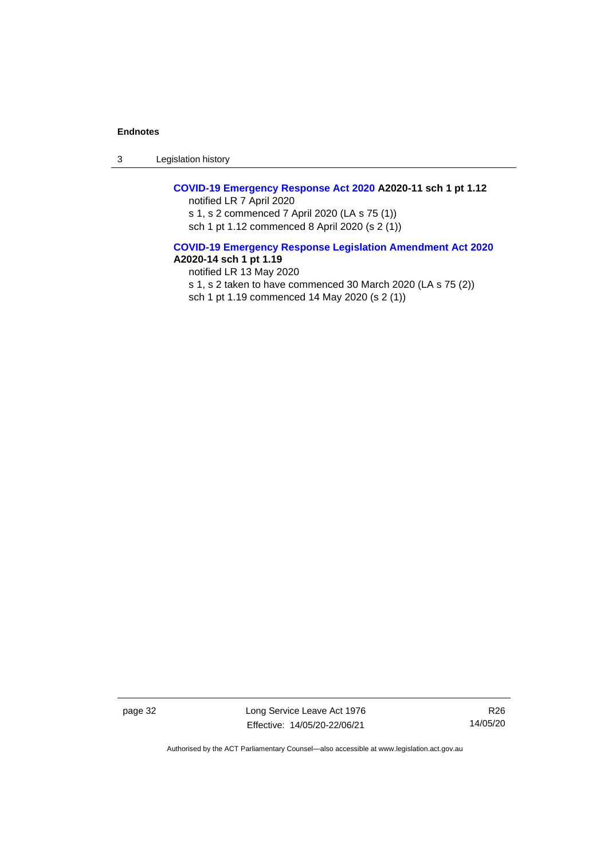3 Legislation history

### **[COVID-19 Emergency](http://www.legislation.act.gov.au/a/2020-11#history) Response Act 2020 A2020-11 sch 1 pt 1.12**

notified LR 7 April 2020 s 1, s 2 commenced 7 April 2020 (LA s 75 (1)) sch 1 pt 1.12 commenced 8 April 2020 (s 2 (1))

#### **[COVID-19 Emergency Response Legislation Amendment Act 2020](http://www.legislation.act.gov.au/a/2020-14/) A2020-14 sch 1 pt 1.19**

notified LR 13 May 2020 s 1, s 2 taken to have commenced 30 March 2020 (LA s 75 (2)) sch 1 pt 1.19 commenced 14 May 2020 (s 2 (1))

page 32 Long Service Leave Act 1976 Effective: 14/05/20-22/06/21

R26 14/05/20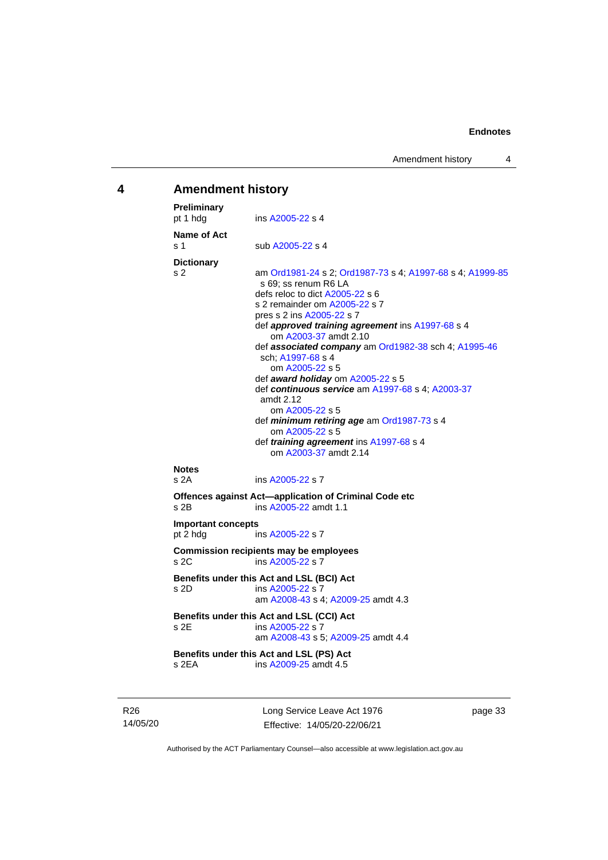# <span id="page-38-0"></span>**4 Amendment history**

| <b>Preliminary</b><br>pt 1 hdg        | ins A2005-22 s 4                                                                                                                                                                                                                                                                                                                                                                                                                                                                                                                                          |
|---------------------------------------|-----------------------------------------------------------------------------------------------------------------------------------------------------------------------------------------------------------------------------------------------------------------------------------------------------------------------------------------------------------------------------------------------------------------------------------------------------------------------------------------------------------------------------------------------------------|
| Name of Act<br>s <sub>1</sub>         | sub A2005-22 s 4                                                                                                                                                                                                                                                                                                                                                                                                                                                                                                                                          |
| <b>Dictionary</b><br>s 2              | am Ord1981-24 s 2; Ord1987-73 s 4; A1997-68 s 4; A1999-85<br>s 69; ss renum R6 LA<br>defs reloc to dict A2005-22 s 6<br>s 2 remainder om A2005-22 s 7<br>pres s 2 ins A2005-22 s 7<br>def approved training agreement ins A1997-68 s 4<br>om A2003-37 amdt 2.10<br>def associated company am Ord1982-38 sch 4; A1995-46<br>sch; A1997-68 s 4<br>om A2005-22 s 5<br>def award holiday om A2005-22 s 5<br>def continuous service am A1997-68 s 4; A2003-37<br>amdt 2.12<br>om A2005-22 s 5<br>def minimum retiring age am Ord1987-73 s 4<br>om A2005-22 s 5 |
|                                       | def training agreement ins A1997-68 s 4<br>om A2003-37 amdt 2.14                                                                                                                                                                                                                                                                                                                                                                                                                                                                                          |
| <b>Notes</b><br>s 2A                  | ins A2005-22 s 7<br>Offences against Act-application of Criminal Code etc                                                                                                                                                                                                                                                                                                                                                                                                                                                                                 |
| $s$ 2B                                | ins A2005-22 amdt 1.1                                                                                                                                                                                                                                                                                                                                                                                                                                                                                                                                     |
| <b>Important concepts</b><br>pt 2 hdg | ins A2005-22 s 7                                                                                                                                                                                                                                                                                                                                                                                                                                                                                                                                          |
| s 2C                                  | <b>Commission recipients may be employees</b><br>ins A2005-22 s 7                                                                                                                                                                                                                                                                                                                                                                                                                                                                                         |
| s 2D                                  | Benefits under this Act and LSL (BCI) Act<br>ins A2005-22 s 7<br>am A2008-43 s 4; A2009-25 amdt 4.3                                                                                                                                                                                                                                                                                                                                                                                                                                                       |
| s 2E                                  | Benefits under this Act and LSL (CCI) Act<br>ins A2005-22 s 7<br>am A2008-43 s 5; A2009-25 amdt 4.4                                                                                                                                                                                                                                                                                                                                                                                                                                                       |
| s 2EA                                 | Benefits under this Act and LSL (PS) Act<br>ins A2009-25 amdt 4.5                                                                                                                                                                                                                                                                                                                                                                                                                                                                                         |
|                                       |                                                                                                                                                                                                                                                                                                                                                                                                                                                                                                                                                           |

R26 14/05/20 Long Service Leave Act 1976 Effective: 14/05/20-22/06/21

page 33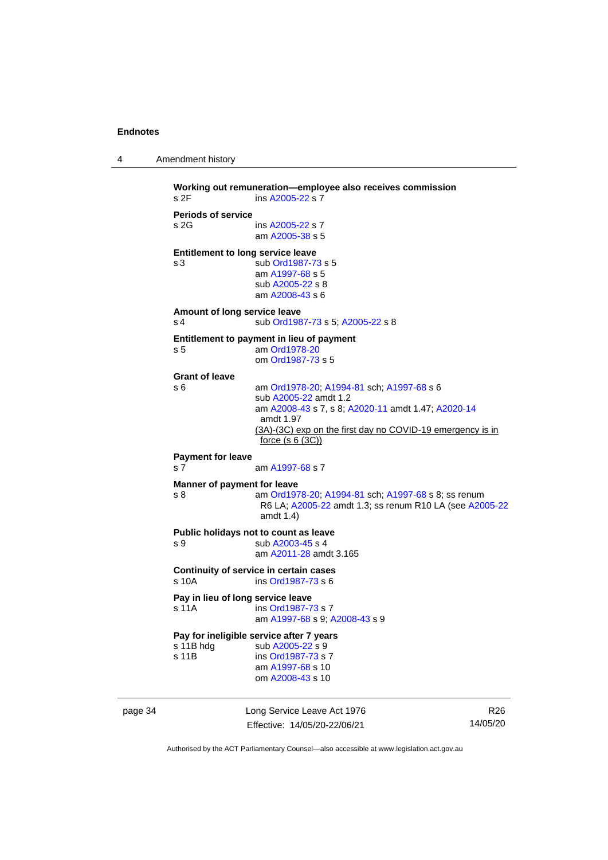```
4 Amendment history
```

```
Working out remuneration—employee also receives commission
 A2005-22 s 7
Periods of service
s 2G ins A2005-22 s 7
                am A2005-38 s 5
Entitlement to long service leave
s 3 sub Ord1987-73 s 5
                am A1997-68 s 5
                 sub A2005-22 s 8
                 am A2008-43 s 6
Amount of long service leave
 Ord1987-73; A2005-22 s 8
Entitlement to payment in lieu of payment
s 5 am Ord1978-20
                om Ord1987-73 s 5
Grant of leave
s 6 am Ord1978-20; A1994-81 sch; A1997-68 s 6
                 sub A2005-22 amdt 1.2
                 am A2008-43 s 7, s 8; A2020-11 amdt 1.47; A2020-14
                 amdt 1.97
                 (3A)-(3C) exp on the first day no COVID-19 emergency is in 
                 force (s 6 (3C))
Payment for leave
 A1997-68 s 7
Manner of payment for leave
s 8 am Ord1978-20; A1994-81 sch; A1997-68 s 8; ss renum 
                 R6 LA; A2005-22 amdt 1.3; ss renum R10 LA (see A2005-22
                 amdt 1.4)
Public holidays not to count as leave
 A2003-45 s 4
                 am A2011-28 amdt 3.165
Continuity of service in certain cases
s 10A ins Ord1987-73 s 6
Pay in lieu of long service leave<br>s 11A ins Ord1987-7
                  Ord1987-73 s 7
                 am A1997-68 s 9; A2008-43 s 9
Pay for ineligible service after 7 years<br>s 11B hdg sub A2005-22 s 9
 A2005-22 s 9<br>s 11B ins Ord1987-73 s
                  Ord1987-73 s 7
                 am A1997-68 s 10
                om A2008-43 s 10
```
page 34 Long Service Leave Act 1976 Effective: 14/05/20-22/06/21

R26 14/05/20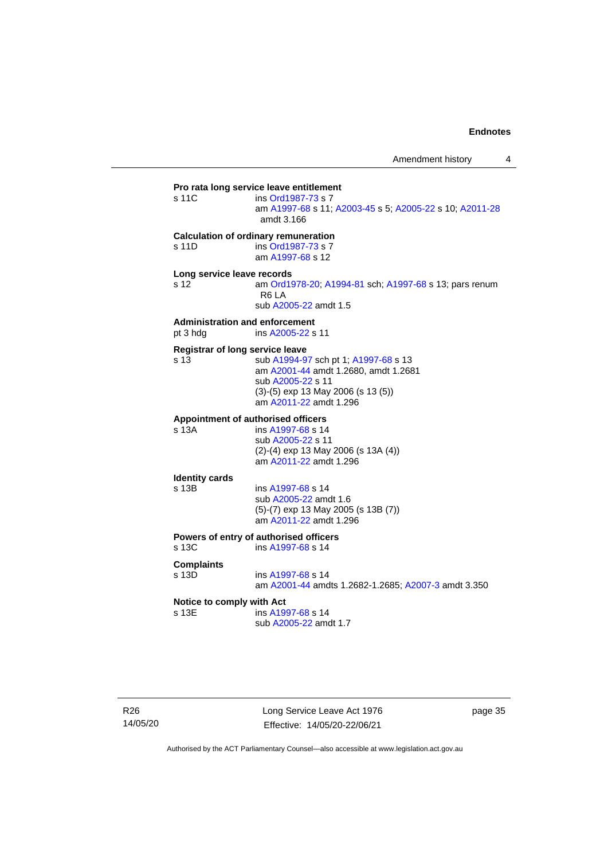**Pro rata long service leave entitlement**<br>s 11C ins Ord1987-73 s 7 ins [Ord1987-73](http://www.legislation.act.gov.au/a/1987-73) s 7 am [A1997-68](http://www.legislation.act.gov.au/a/1997-68) s 11[; A2003-45](http://www.legislation.act.gov.au/a/2003-45) s 5; [A2005-22](http://www.legislation.act.gov.au/a/2005-22) s 10[; A2011-28](http://www.legislation.act.gov.au/a/2011-28) amdt 3.166 **Calculation of ordinary remuneration** s 11D ins [Ord1987-73](http://www.legislation.act.gov.au/a/1987-73) s 7 am [A1997-68](http://www.legislation.act.gov.au/a/1997-68) s 12 **Long service leave records** s 12 am [Ord1978-20;](http://www.legislation.act.gov.au/a/1978-20) [A1994-81](http://www.legislation.act.gov.au/a/1994-81) sch[; A1997-68](http://www.legislation.act.gov.au/a/1997-68) s 13; pars renum R6 LA sub [A2005-22](http://www.legislation.act.gov.au/a/2005-22) amdt 1.5 **Administration and enforcement** pt 3 hdg ins [A2005-22](http://www.legislation.act.gov.au/a/2005-22) s 11 **Registrar of long service leave** s 13 sub [A1994-97](http://www.legislation.act.gov.au/a/1994-97) sch pt 1; [A1997-68](http://www.legislation.act.gov.au/a/1997-68) s 13 am [A2001-44](http://www.legislation.act.gov.au/a/2001-44) amdt 1.2680, amdt 1.2681 sub [A2005-22](http://www.legislation.act.gov.au/a/2005-22) s 11 (3)-(5) exp 13 May 2006 (s 13 (5)) am [A2011-22](http://www.legislation.act.gov.au/a/2011-22) amdt 1.296 **Appointment of authorised officers** s 13A ins [A1997-68](http://www.legislation.act.gov.au/a/1997-68) s 14 sub [A2005-22](http://www.legislation.act.gov.au/a/2005-22) s 11 (2)-(4) exp 13 May 2006 (s 13A (4)) am [A2011-22](http://www.legislation.act.gov.au/a/2011-22) amdt 1.296 **Identity cards**  $ins A1997-68 s 14$  $ins A1997-68 s 14$  $ins A1997-68 s 14$ sub [A2005-22](http://www.legislation.act.gov.au/a/2005-22) amdt 1.6 (5)-(7) exp 13 May 2005 (s 13B (7)) am [A2011-22](http://www.legislation.act.gov.au/a/2011-22) amdt 1.296 **Powers of entry of authorised officers** s 13C ins [A1997-68](http://www.legislation.act.gov.au/a/1997-68) s 14 **Complaints** ins [A1997-68](http://www.legislation.act.gov.au/a/1997-68) s 14 am [A2001-44](http://www.legislation.act.gov.au/a/2001-44) amdts 1.2682-1.2685[; A2007-3](http://www.legislation.act.gov.au/a/2007-3) amdt 3.350 **Notice to comply with Act** s 13E ins [A1997-68](http://www.legislation.act.gov.au/a/1997-68) s 14 sub [A2005-22](http://www.legislation.act.gov.au/a/2005-22) amdt 1.7

Long Service Leave Act 1976 Effective: 14/05/20-22/06/21

page 35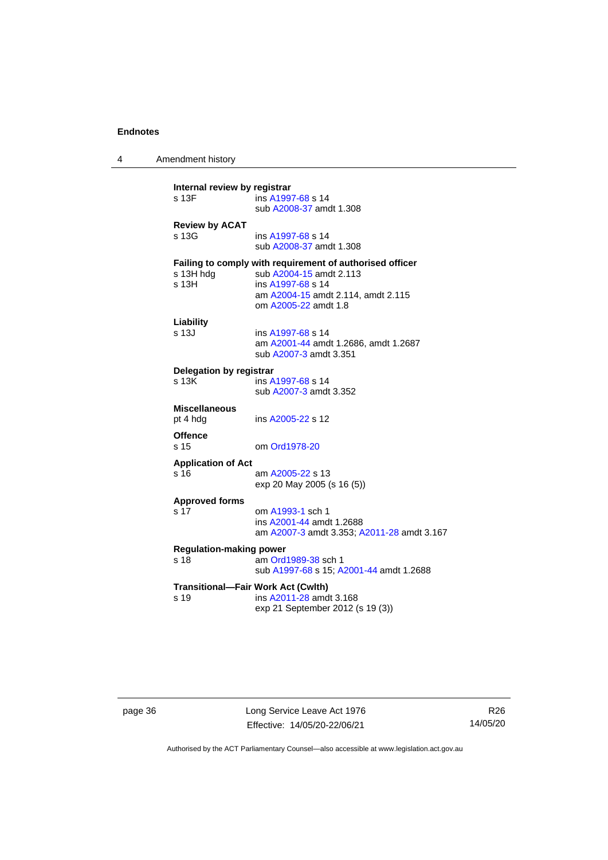4 Amendment history

| Internal review by registrar<br>ins A1997-68 s 14<br>s 13F<br>sub A2008-37 amdt 1.308 |                                                                                                                                                                        |  |  |
|---------------------------------------------------------------------------------------|------------------------------------------------------------------------------------------------------------------------------------------------------------------------|--|--|
| <b>Review by ACAT</b><br>s 13G                                                        | ins A1997-68 s 14<br>sub A2008-37 amdt 1.308                                                                                                                           |  |  |
| s 13H hdg<br>s 13H                                                                    | Failing to comply with requirement of authorised officer<br>sub A2004-15 amdt 2.113<br>ins A1997-68 s 14<br>am A2004-15 amdt 2.114, amdt 2.115<br>om A2005-22 amdt 1.8 |  |  |
| Liability<br>s 13J                                                                    | ins A1997-68 s 14<br>am A2001-44 amdt 1.2686, amdt 1.2687<br>sub A2007-3 amdt 3.351                                                                                    |  |  |
| Delegation by registrar<br>s 13K                                                      | ins A1997-68 s 14<br>sub A2007-3 amdt 3.352                                                                                                                            |  |  |
| <b>Miscellaneous</b><br>pt 4 hdg                                                      | ins A2005-22 s 12                                                                                                                                                      |  |  |
| <b>Offence</b><br>s 15                                                                | om Ord1978-20                                                                                                                                                          |  |  |
| <b>Application of Act</b><br>s 16                                                     | am A2005-22 s 13<br>exp 20 May 2005 (s 16 (5))                                                                                                                         |  |  |
| <b>Approved forms</b><br>s 17                                                         | om A1993-1 sch 1<br>ins A2001-44 amdt 1.2688<br>am A2007-3 amdt 3.353; A2011-28 amdt 3.167                                                                             |  |  |
| <b>Regulation-making power</b><br>s 18                                                | am Ord1989-38 sch 1<br>sub A1997-68 s 15; A2001-44 amdt 1.2688                                                                                                         |  |  |
| <b>Transitional-Fair Work Act (Cwlth)</b><br>s 19                                     | ins A2011-28 amdt 3.168<br>exp 21 September 2012 (s 19 (3))                                                                                                            |  |  |

page 36 **Long Service Leave Act 1976** Effective: 14/05/20-22/06/21

R26 14/05/20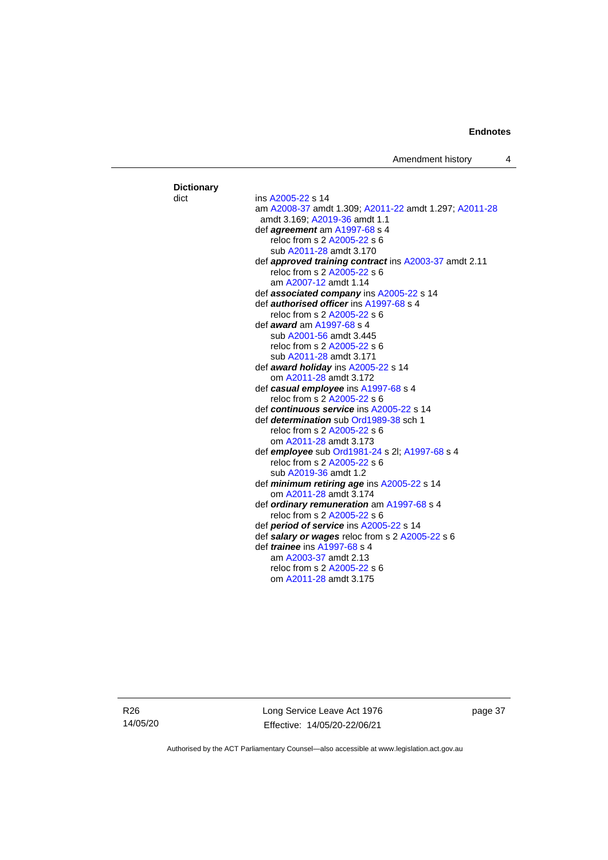Amendment history 4

#### **Dictionary** dict ins [A2005-22](http://www.legislation.act.gov.au/a/2005-22) s 14 am [A2008-37](http://www.legislation.act.gov.au/a/2008-37) amdt 1.309[; A2011-22](http://www.legislation.act.gov.au/a/2011-22) amdt 1.297; [A2011-28](http://www.legislation.act.gov.au/a/2011-28) amdt 3.169; [A2019-36](http://www.legislation.act.gov.au/a/2019-36/default.asp) amdt 1.1 def *agreement* am [A1997-68](http://www.legislation.act.gov.au/a/1997-68) s 4 reloc from s 2 [A2005-22](http://www.legislation.act.gov.au/a/2005-22) s 6 sub [A2011-28](http://www.legislation.act.gov.au/a/2011-28) amdt 3.170 def *approved training contract* in[s A2003-37](http://www.legislation.act.gov.au/a/2003-37) amdt 2.11 reloc from s 2 [A2005-22](http://www.legislation.act.gov.au/a/2005-22) s 6 am [A2007-12](http://www.legislation.act.gov.au/a/2007-12) amdt 1.14 def *associated company* ins [A2005-22](http://www.legislation.act.gov.au/a/2005-22) s 14 def *authorised officer* in[s A1997-68](http://www.legislation.act.gov.au/a/1997-68) s 4 reloc from s 2 [A2005-22](http://www.legislation.act.gov.au/a/2005-22) s 6 def *award* a[m A1997-68](http://www.legislation.act.gov.au/a/1997-68) s 4 sub [A2001-56](http://www.legislation.act.gov.au/a/2001-56) amdt 3.445 reloc from s 2 [A2005-22](http://www.legislation.act.gov.au/a/2005-22) s 6 sub [A2011-28](http://www.legislation.act.gov.au/a/2011-28) amdt 3.171 def *award holiday* in[s A2005-22](http://www.legislation.act.gov.au/a/2005-22) s 14 om [A2011-28](http://www.legislation.act.gov.au/a/2011-28) amdt 3.172 def *casual employee* in[s A1997-68](http://www.legislation.act.gov.au/a/1997-68) s 4 reloc from s 2 [A2005-22](http://www.legislation.act.gov.au/a/2005-22) s 6 def *continuous service* in[s A2005-22](http://www.legislation.act.gov.au/a/2005-22) s 14 def *determination* sub [Ord1989-38](http://www.legislation.act.gov.au/a/1989-38) sch 1 reloc from s 2 [A2005-22](http://www.legislation.act.gov.au/a/2005-22) s 6 om [A2011-28](http://www.legislation.act.gov.au/a/2011-28) amdt 3.173 def *employee* sub [Ord1981-24](http://www.legislation.act.gov.au/a/1981-24) s 2l[; A1997-68](http://www.legislation.act.gov.au/a/1997-68) s 4 reloc from s 2 [A2005-22](http://www.legislation.act.gov.au/a/2005-22) s 6 sub [A2019-36](http://www.legislation.act.gov.au/a/2019-36/default.asp) amdt 1.2 def *minimum retiring age* ins [A2005-22](http://www.legislation.act.gov.au/a/2005-22) s 14 om [A2011-28](http://www.legislation.act.gov.au/a/2011-28) amdt 3.174 def *ordinary remuneration* a[m A1997-68](http://www.legislation.act.gov.au/a/1997-68) s 4 reloc from s 2 [A2005-22](http://www.legislation.act.gov.au/a/2005-22) s 6 def *period of service* in[s A2005-22](http://www.legislation.act.gov.au/a/2005-22) s 14 def *salary or wages* reloc from s 2 [A2005-22](http://www.legislation.act.gov.au/a/2005-22) s 6 def *trainee* ins [A1997-68](http://www.legislation.act.gov.au/a/1997-68) s 4 am [A2003-37](http://www.legislation.act.gov.au/a/2003-37) amdt 2.13 reloc from s 2 [A2005-22](http://www.legislation.act.gov.au/a/2005-22) s 6 om [A2011-28](http://www.legislation.act.gov.au/a/2011-28) amdt 3.175

R26 14/05/20 Long Service Leave Act 1976 Effective: 14/05/20-22/06/21

page 37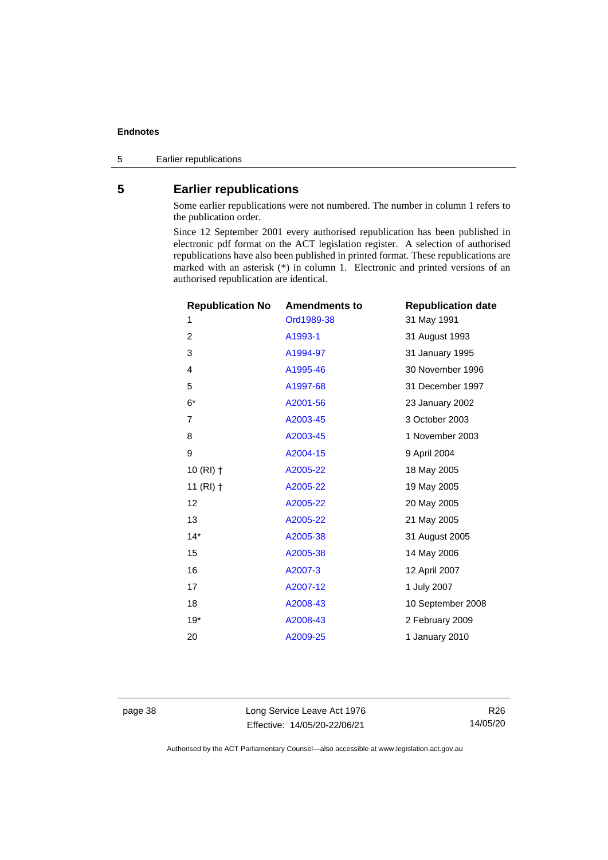5 Earlier republications

### <span id="page-43-0"></span>**5 Earlier republications**

Some earlier republications were not numbered. The number in column 1 refers to the publication order.

Since 12 September 2001 every authorised republication has been published in electronic pdf format on the ACT legislation register. A selection of authorised republications have also been published in printed format. These republications are marked with an asterisk (\*) in column 1. Electronic and printed versions of an authorised republication are identical.

| <b>Republication No</b> | <b>Amendments to</b> | <b>Republication date</b> |
|-------------------------|----------------------|---------------------------|
| 1                       | Ord1989-38           | 31 May 1991               |
| $\overline{2}$          | A1993-1              | 31 August 1993            |
| 3                       | A1994-97             | 31 January 1995           |
| 4                       | A1995-46             | 30 November 1996          |
| 5                       | A1997-68             | 31 December 1997          |
| $6^\star$               | A2001-56             | 23 January 2002           |
| $\overline{7}$          | A2003-45             | 3 October 2003            |
| 8                       | A2003-45             | 1 November 2003           |
| 9                       | A2004-15             | 9 April 2004              |
| 10 $(RI)$ †             | A2005-22             | 18 May 2005               |
| 11 $(RI)$ †             | A2005-22             | 19 May 2005               |
| 12                      | A2005-22             | 20 May 2005               |
| 13                      | A2005-22             | 21 May 2005               |
| $14*$                   | A2005-38             | 31 August 2005            |
| 15                      | A2005-38             | 14 May 2006               |
| 16                      | A2007-3              | 12 April 2007             |
| 17                      | A2007-12             | 1 July 2007               |
| 18                      | A2008-43             | 10 September 2008         |
| $19*$                   | A2008-43             | 2 February 2009           |
| 20                      | A2009-25             | 1 January 2010            |
|                         |                      |                           |

page 38 Long Service Leave Act 1976 Effective: 14/05/20-22/06/21

R26 14/05/20